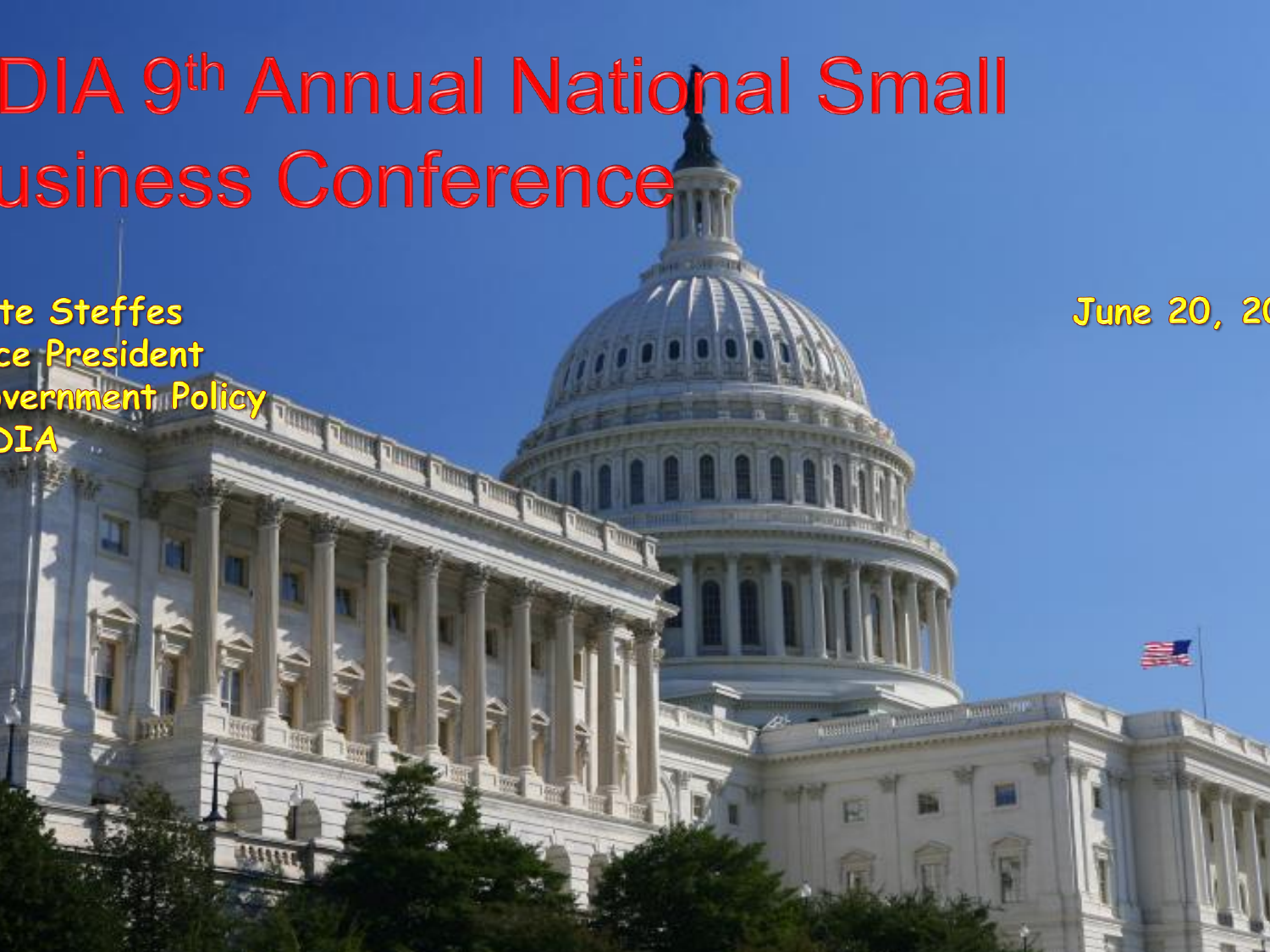# DIA 9<sup>th</sup> Annual National Small usiness Conference

**June 20, 20** 

te Steffes ce President vernment Policy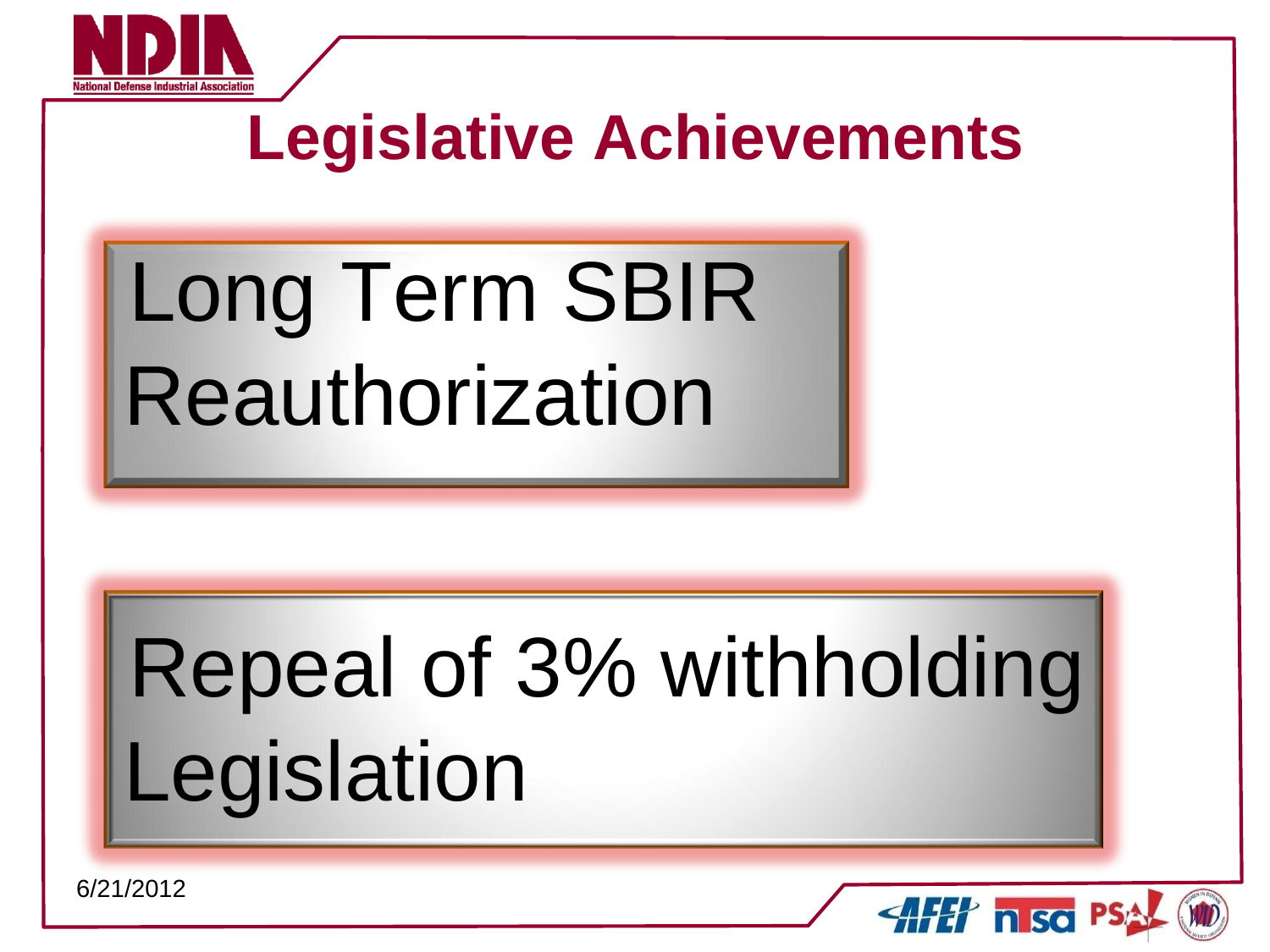

# **Legislative Achievements**

# Long Term SBIR Reauthorization

# Repeal of 3% withholding Legislation

**AFET nisc PS**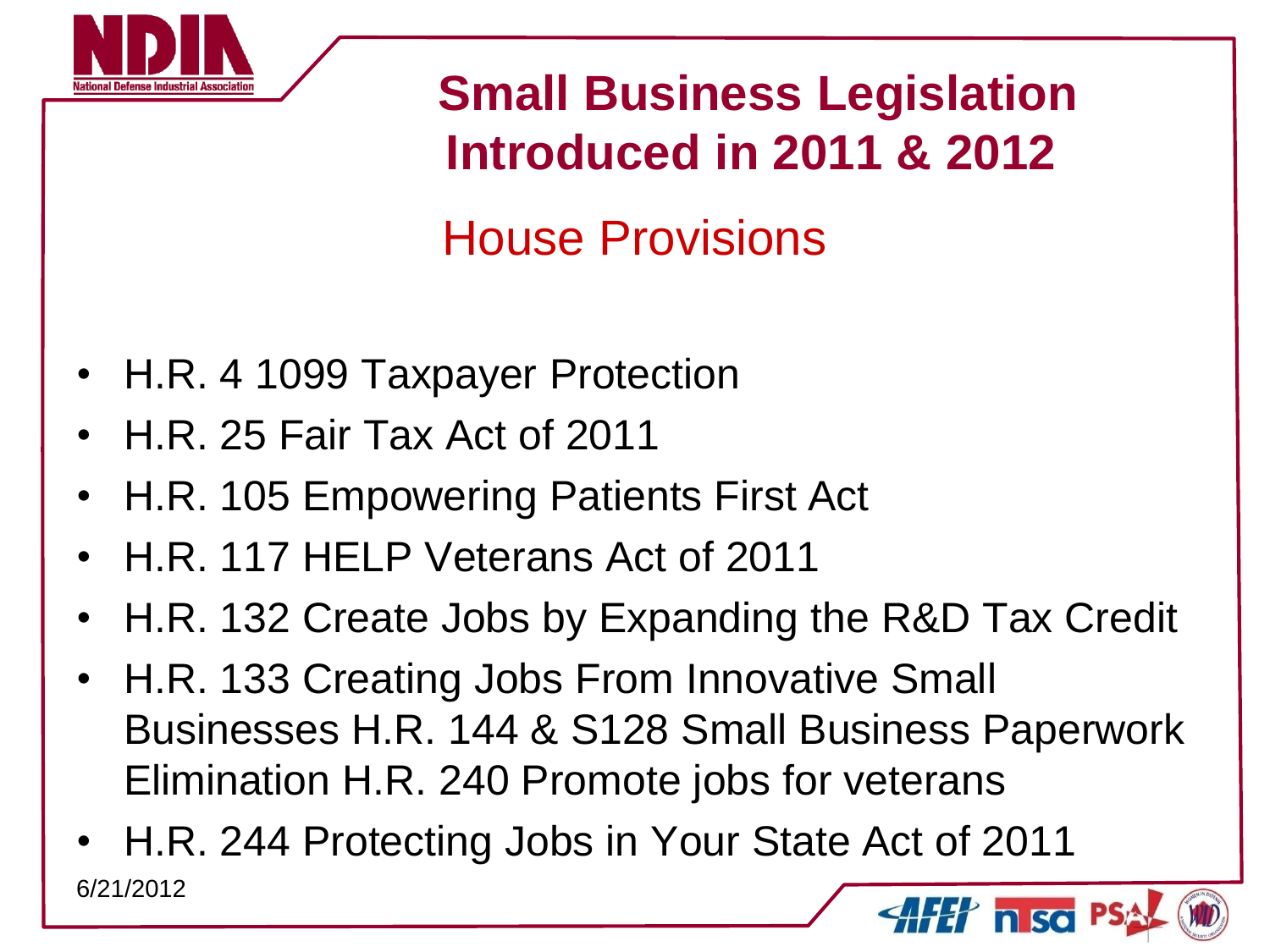

 **Small Business Legislation Introduced in 2011 & 2012**

House Provisions

- H.R. 4 1099 Taxpayer Protection
- H.R. 25 Fair Tax Act of 2011
- H.R. 105 Empowering Patients First Act
- H.R. 117 HELP Veterans Act of 2011
- H.R. 132 Create Jobs by Expanding the R&D Tax Credit
- H.R. 133 Creating Jobs From Innovative Small Businesses H.R. 144 & S128 Small Business Paperwork Elimination H.R. 240 Promote jobs for veterans
- H.R. 244 Protecting Jobs in Your State Act of 2011 6/21/2012**H** nsc P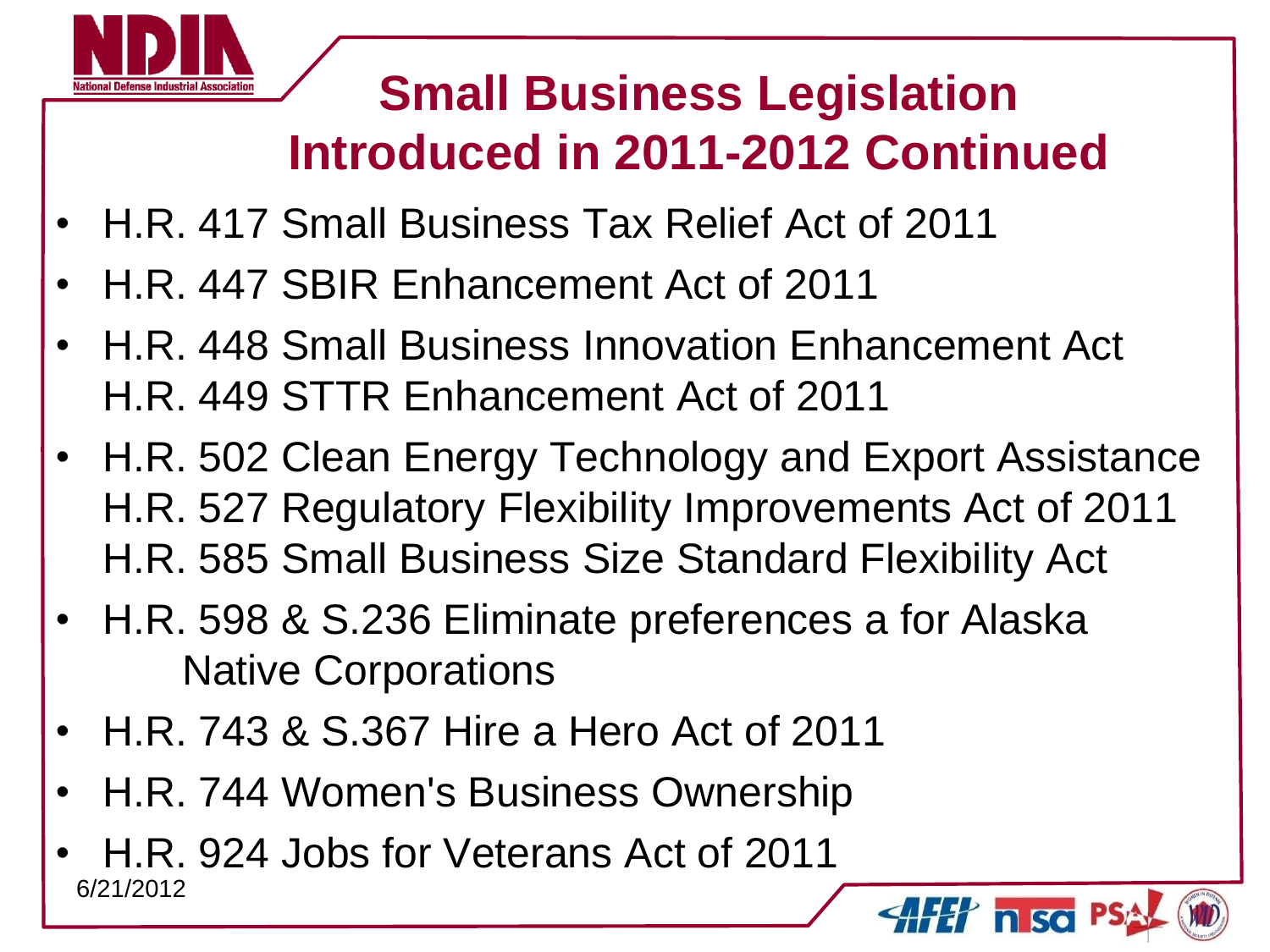

- H.R. 417 Small Business Tax Relief Act of 2011
- H.R. 447 SBIR Enhancement Act of 2011
- H.R. 448 Small Business Innovation Enhancement Act H.R. 449 STTR Enhancement Act of 2011
- H.R. 502 Clean Energy Technology and Export Assistance H.R. 527 Regulatory Flexibility Improvements Act of 2011 H.R. 585 Small Business Size Standard Flexibility Act

 $\gamma$  in Soi

- H.R. 598 & S.236 Eliminate preferences a for Alaska Native Corporations
- H.R. 743 & S.367 Hire a Hero Act of 2011
- H.R. 744 Women's Business Ownership
- H.R. 924 Jobs for Veterans Act of 2011 6/21/2012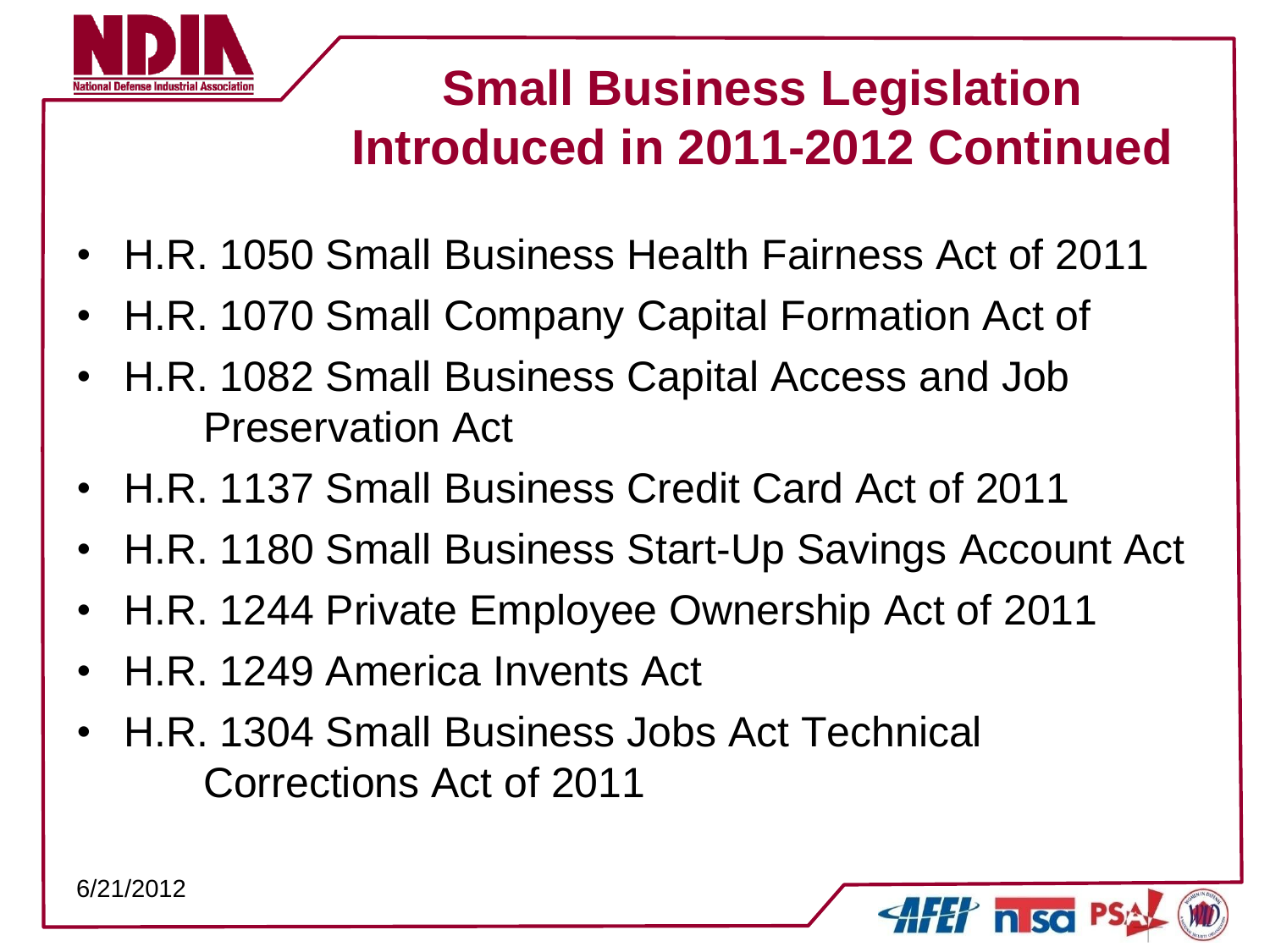

- H.R. 1050 Small Business Health Fairness Act of 2011
- H.R. 1070 Small Company Capital Formation Act of
- H.R. 1082 Small Business Capital Access and Job Preservation Act
- H.R. 1137 Small Business Credit Card Act of 2011
- H.R. 1180 Small Business Start-Up Savings Account Act
- H.R. 1244 Private Employee Ownership Act of 2011
- H.R. 1249 America Invents Act
- H.R. 1304 Small Business Jobs Act Technical Corrections Act of 2011

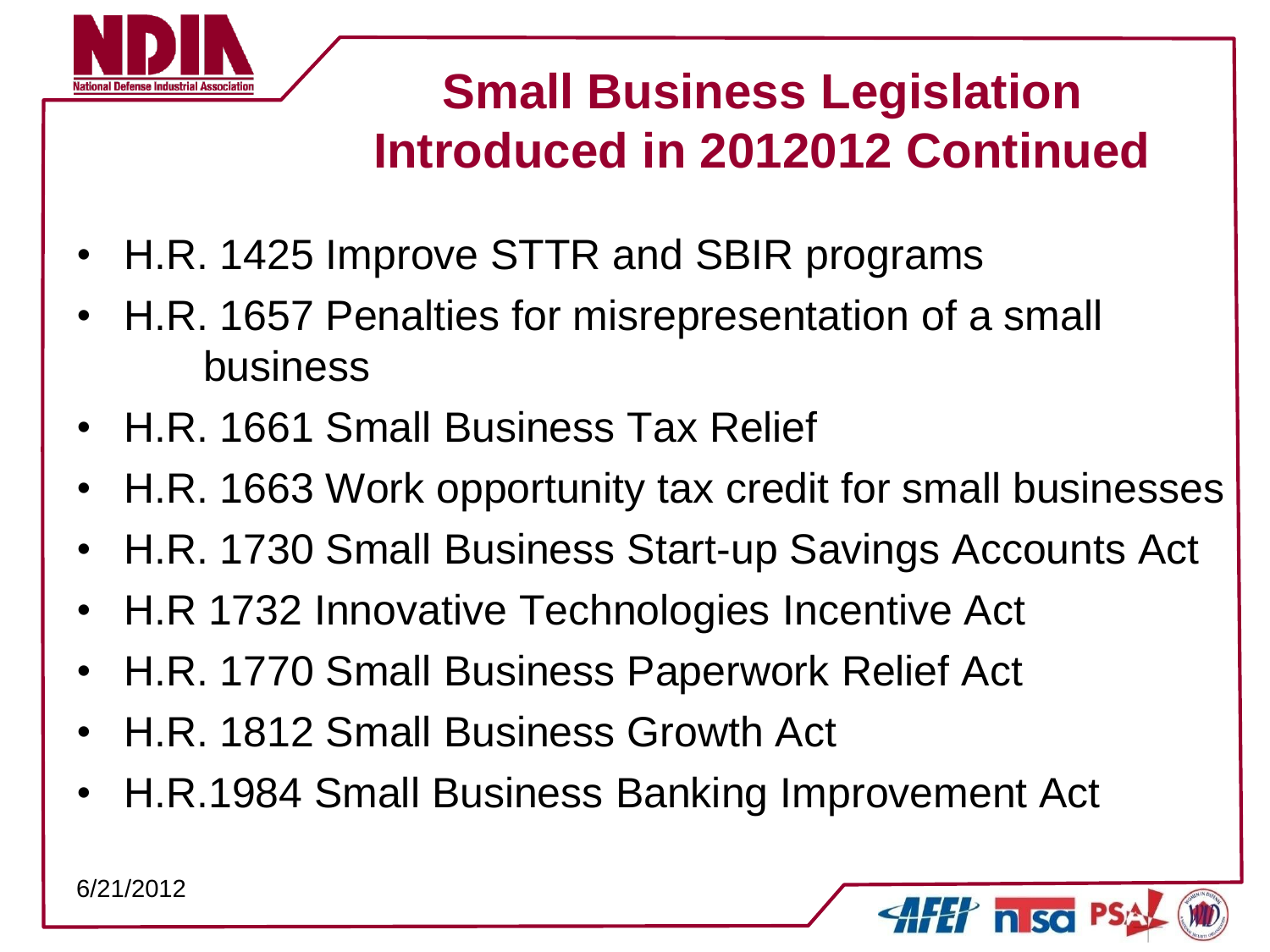

- H.R. 1425 Improve STTR and SBIR programs
- H.R. 1657 Penalties for misrepresentation of a small business
- H.R. 1661 Small Business Tax Relief
- H.R. 1663 Work opportunity tax credit for small businesses
- H.R. 1730 Small Business Start-up Savings Accounts Act
- H.R 1732 Innovative Technologies Incentive Act
- H.R. 1770 Small Business Paperwork Relief Act
- H.R. 1812 Small Business Growth Act
- H.R.1984 Small Business Banking Improvement Act

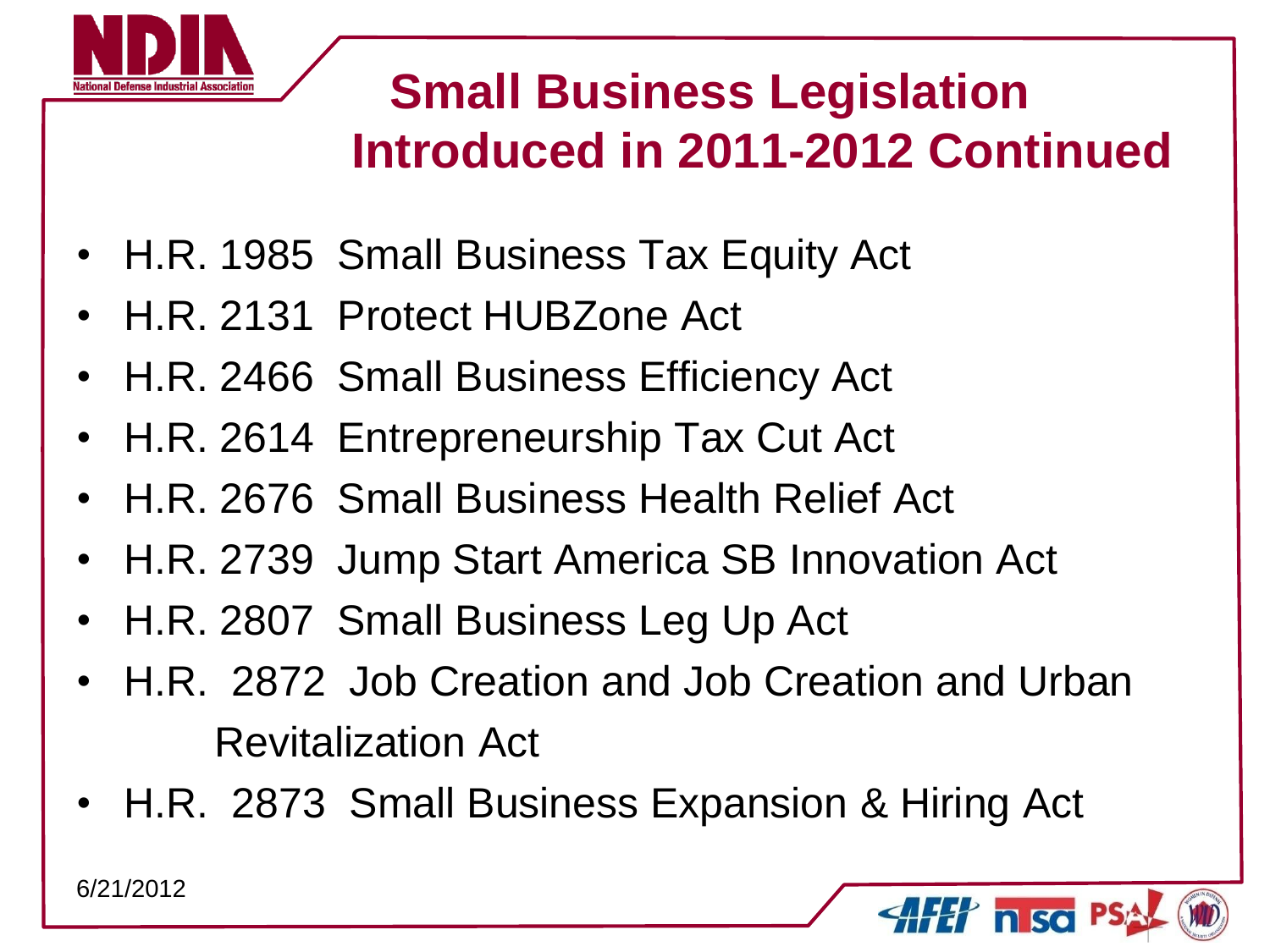

 $\ell$  n so

- H.R. 1985 Small Business Tax Equity Act
- H.R. 2131 Protect HUBZone Act
- H.R. 2466 Small Business Efficiency Act
- H.R. 2614 Entrepreneurship Tax Cut Act
- H.R. 2676 Small Business Health Relief Act
- H.R. 2739 Jump Start America SB Innovation Act
- H.R. 2807 Small Business Leg Up Act
- H.R. 2872 Job Creation and Job Creation and Urban Revitalization Act
- H.R. 2873 Small Business Expansion & Hiring Act

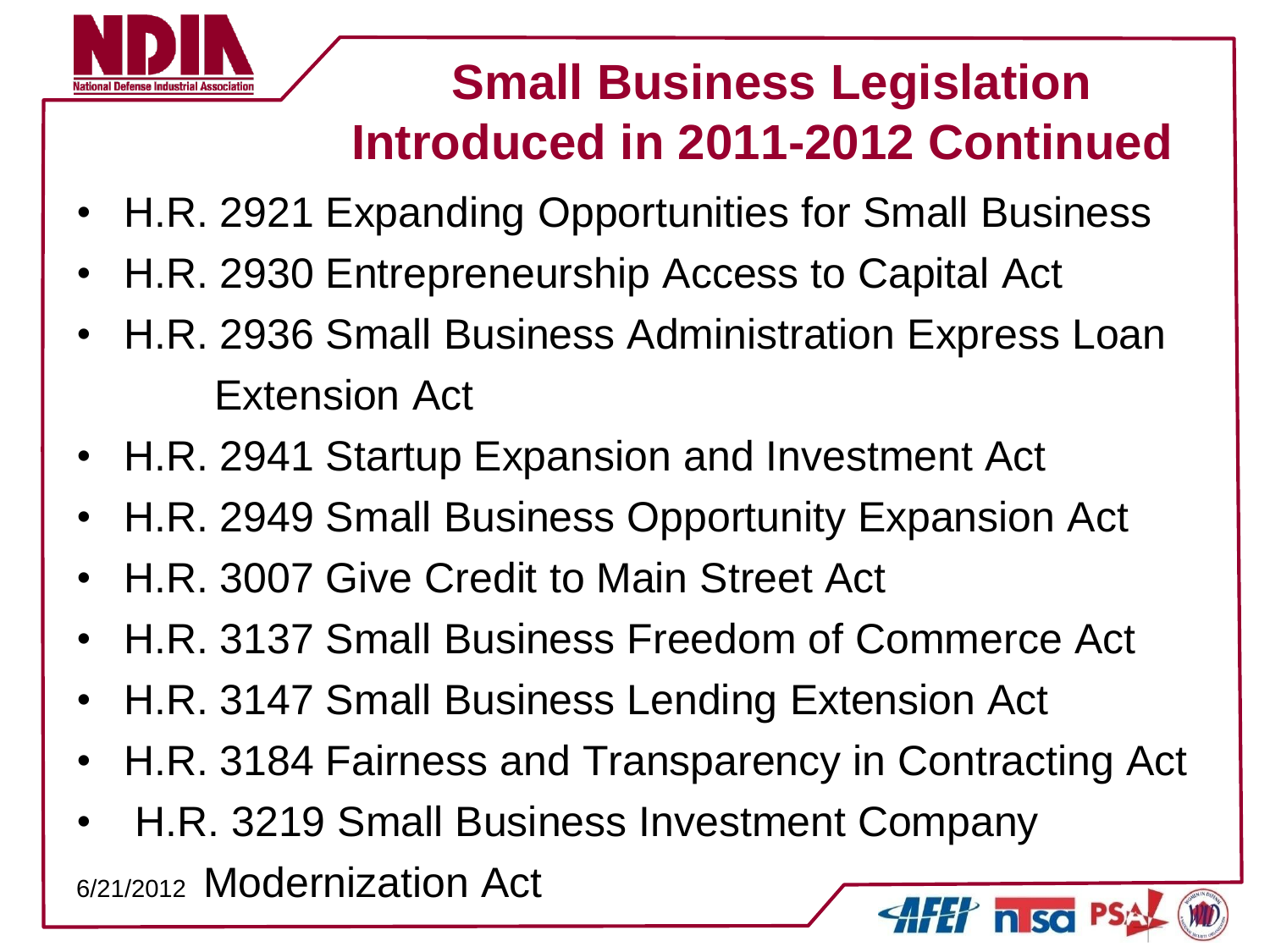

- H.R. 2921 Expanding Opportunities for Small Business
- H.R. 2930 Entrepreneurship Access to Capital Act
- H.R. 2936 Small Business Administration Express Loan Extension Act
- H.R. 2941 Startup Expansion and Investment Act
- H.R. 2949 Small Business Opportunity Expansion Act
- H.R. 3007 Give Credit to Main Street Act
- H.R. 3137 Small Business Freedom of Commerce Act
- H.R. 3147 Small Business Lending Extension Act
- H.R. 3184 Fairness and Transparency in Contracting Act
- H.R. 3219 Small Business Investment Company 6/21/2012 Modernization Act

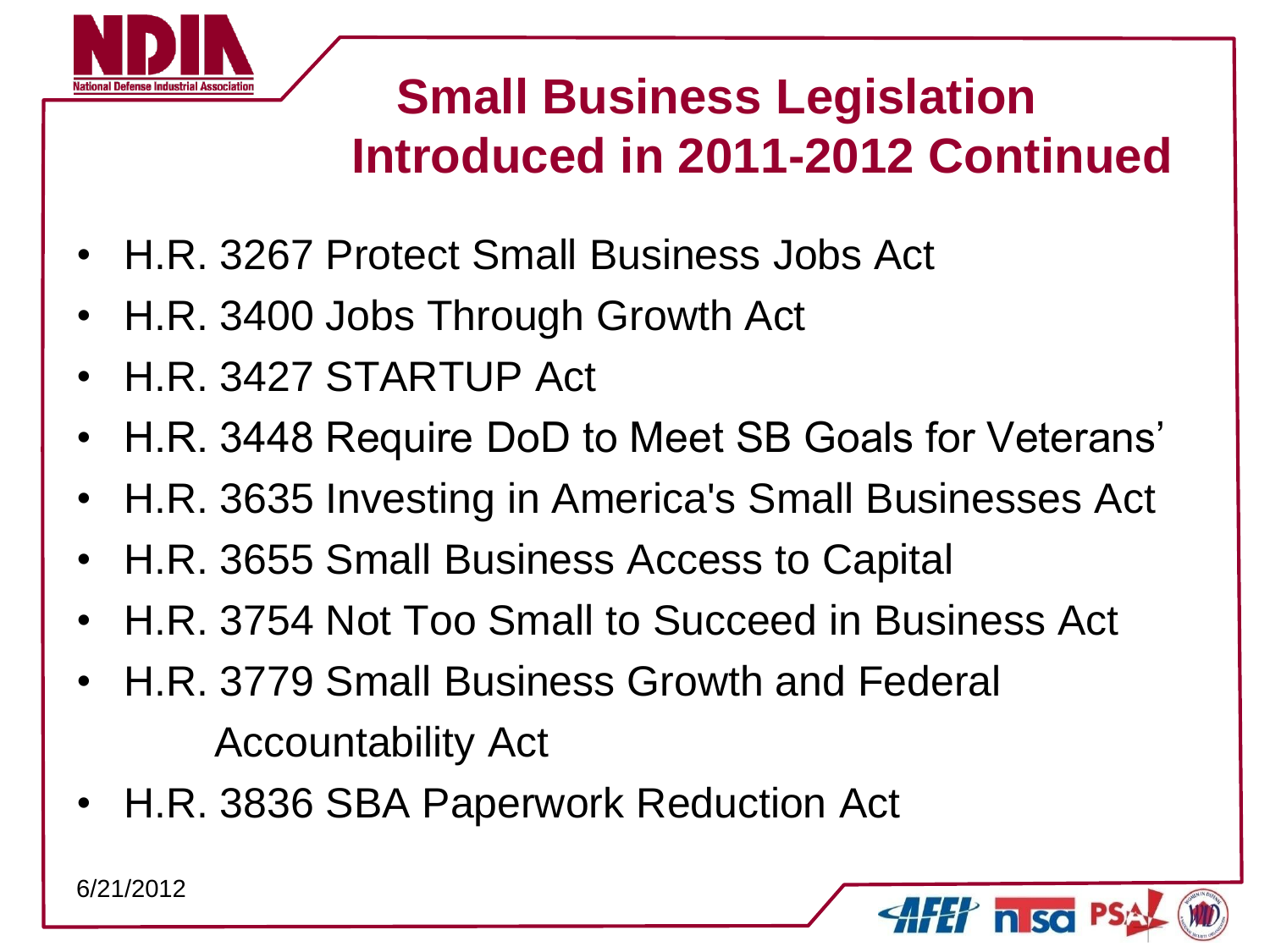

 $\gamma$  n so

- H.R. 3267 Protect Small Business Jobs Act
- H.R. 3400 Jobs Through Growth Act
- H.R. 3427 STARTUP Act
- H.R. 3448 Require DoD to Meet SB Goals for Veterans'
- H.R. 3635 Investing in America's Small Businesses Act
- H.R. 3655 Small Business Access to Capital
- H.R. 3754 Not Too Small to Succeed in Business Act
- H.R. 3779 Small Business Growth and Federal Accountability Act
- H.R. 3836 SBA Paperwork Reduction Act

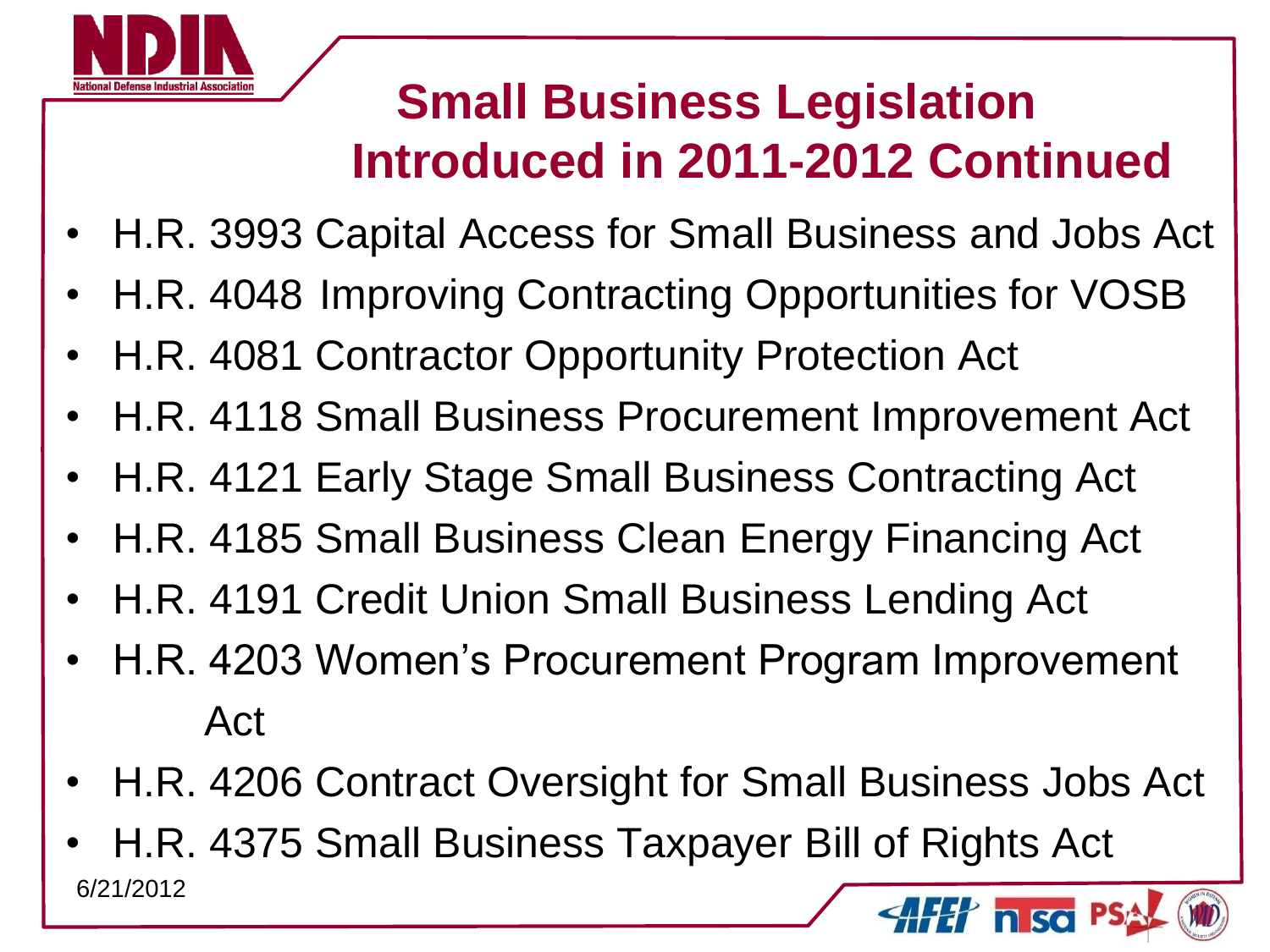

- H.R. 3993 Capital Access for Small Business and Jobs Act
- H.R. 4048 Improving Contracting Opportunities for VOSB
- H.R. 4081 Contractor Opportunity Protection Act
- H.R. 4118 Small Business Procurement Improvement Act
- H.R. 4121 Early Stage Small Business Contracting Act
- H.R. 4185 Small Business Clean Energy Financing Act
- H.R. 4191 Credit Union Small Business Lending Act
- H.R. 4203 Women's Procurement Program Improvement Act
- H.R. 4206 Contract Oversight for Small Business Jobs Act
- H.R. 4375 Small Business Taxpayer Bill of Rights Act 6/21/2012 $H'$  n so P.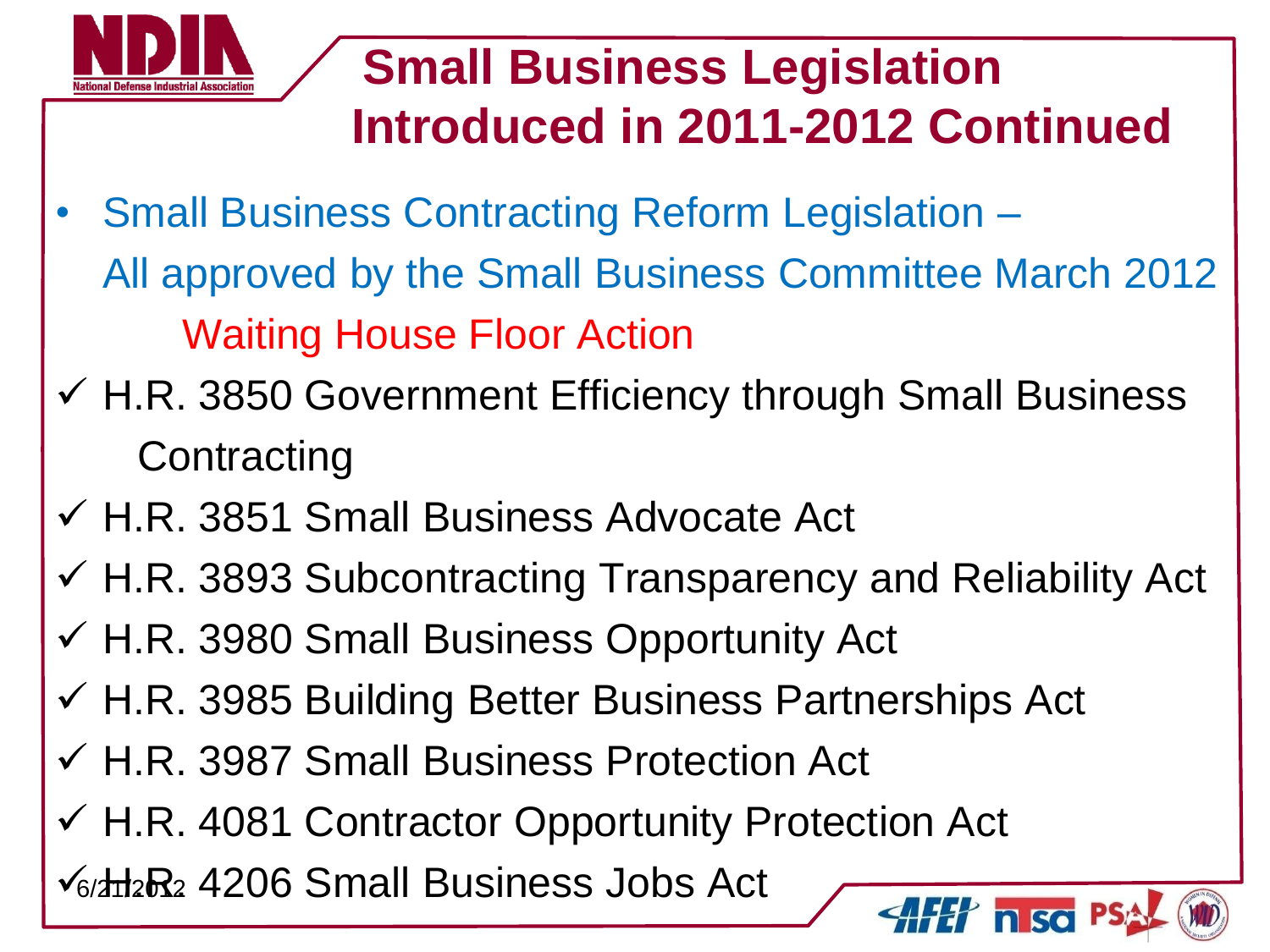

- Small Business Contracting Reform Legislation All approved by the Small Business Committee March 2012 Waiting House Floor Action
- $\checkmark$  H.R. 3850 Government Efficiency through Small Business **Contracting**
- H.R. 3851 Small Business Advocate Act
- $\checkmark$  H.R. 3893 Subcontracting Transparency and Reliability Act
- $\checkmark$  H.R. 3980 Small Business Opportunity Act
- $\checkmark$  H.R. 3985 Building Better Business Partnerships Act
- H.R. 3987 Small Business Protection Act
- $\checkmark$  H.R. 4081 Contractor Opportunity Protection Act

 $\sqrt{6}/\sqrt{112}R$ , 4206 Small Business Jobs Act

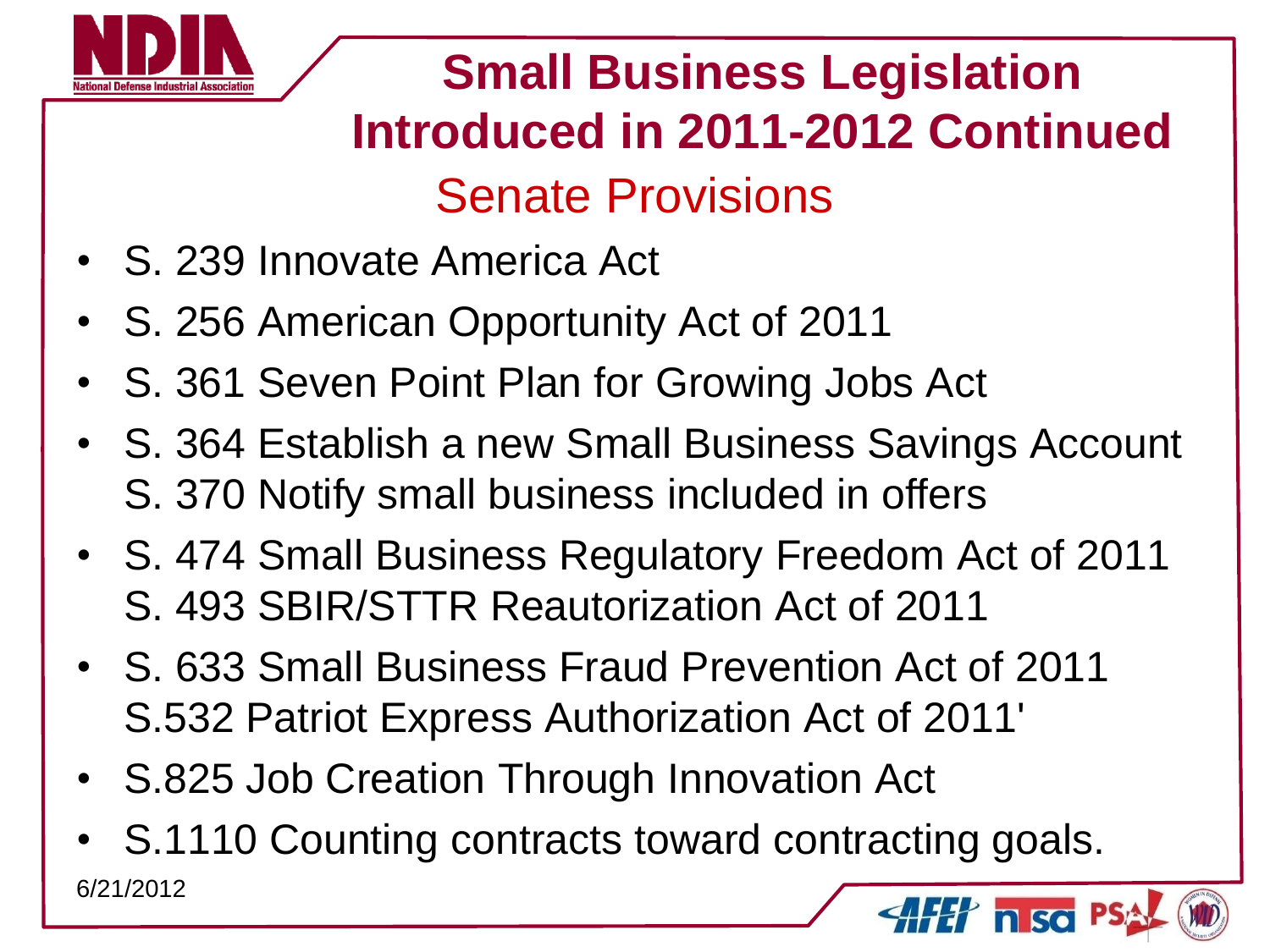

# **Small Business Legislation Introduced in 2011-2012 Continued** Senate Provisions

- S. 239 Innovate America Act
- S. 256 American Opportunity Act of 2011
- S. 361 Seven Point Plan for Growing Jobs Act
- S. 364 Establish a new Small Business Savings Account S. 370 Notify small business included in offers
- S. 474 Small Business Regulatory Freedom Act of 2011 S. 493 SBIR/STTR Reautorization Act of 2011
- S. 633 Small Business Fraud Prevention Act of 2011 S.532 Patriot Express Authorization Act of 2011'
- S.825 Job Creation Through Innovation Act
- S.1110 Counting contracts toward contracting goals. 6/21/2012 $H'$  nso  $P$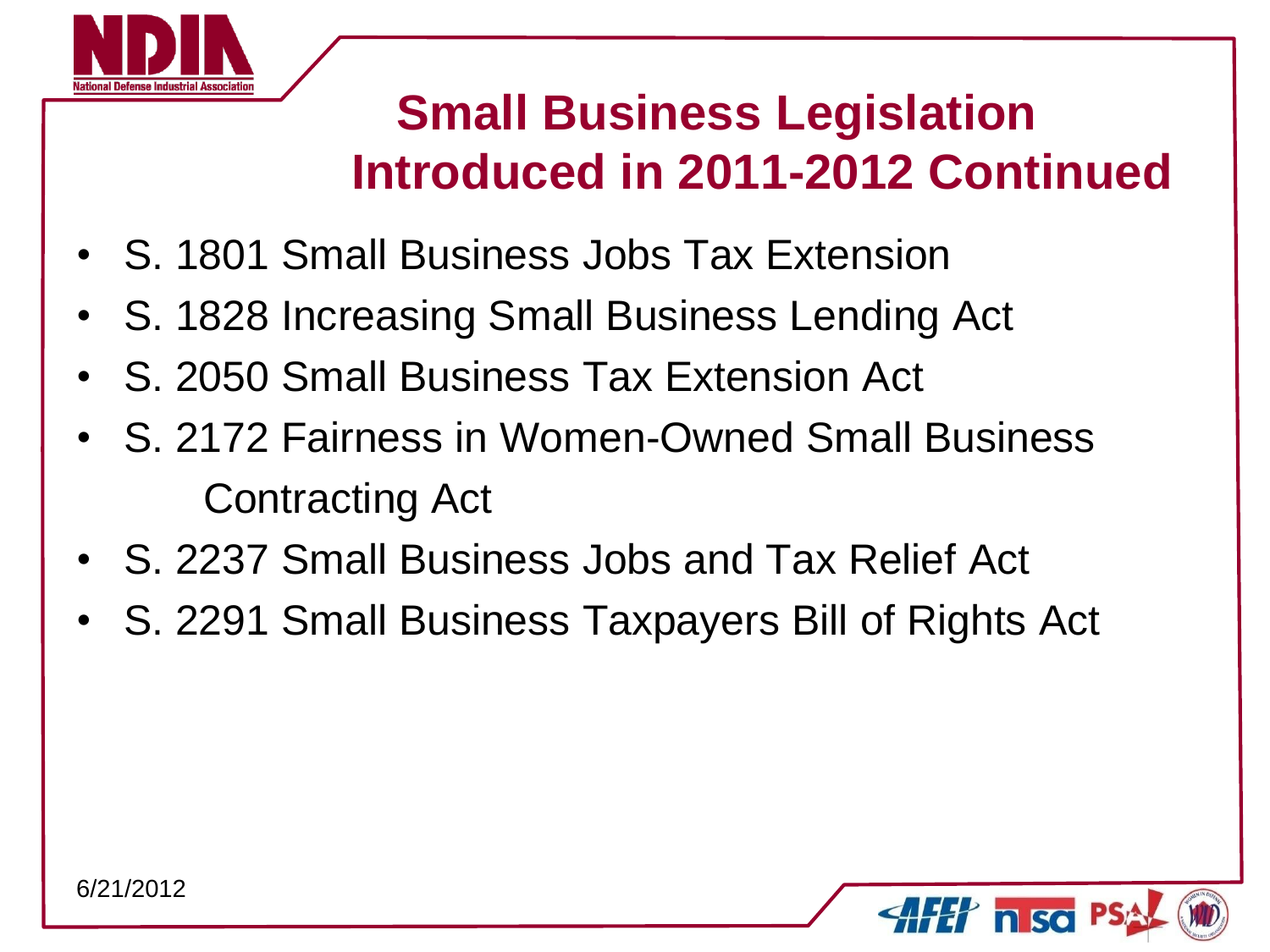

- S. 1801 Small Business Jobs Tax Extension
- S. 1828 Increasing Small Business Lending Act
- S. 2050 Small Business Tax Extension Act
- S. 2172 Fairness in Women-Owned Small Business Contracting Act
- S. 2237 Small Business Jobs and Tax Relief Act
- S. 2291 Small Business Taxpayers Bill of Rights Act

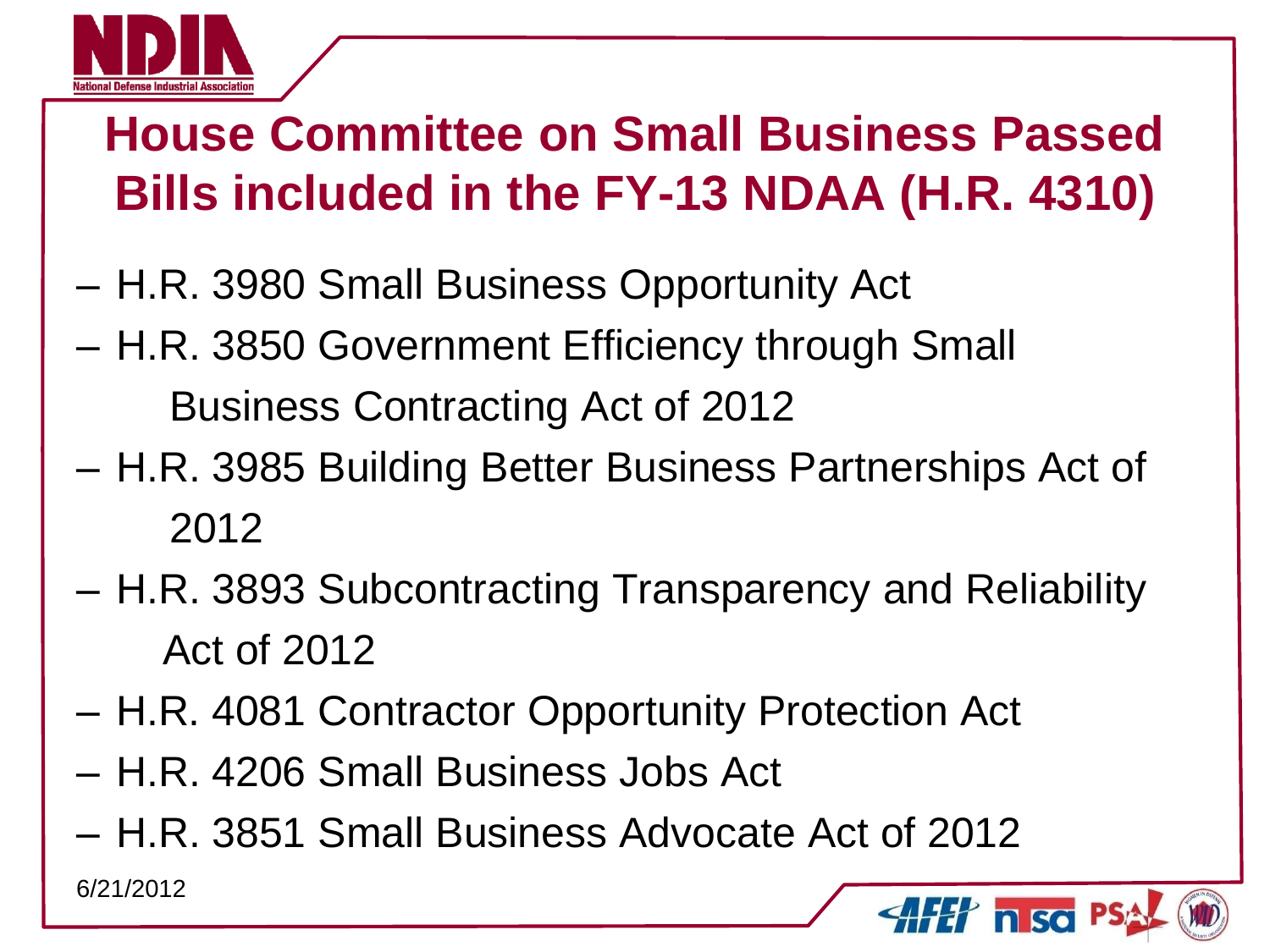

# **House Committee on Small Business Passed Bills included in the FY-13 NDAA (H.R. 4310)**

- H.R. 3980 Small Business Opportunity Act
- H.R. 3850 Government Efficiency through Small Business Contracting Act of 2012
- H.R. 3985 Building Better Business Partnerships Act of 2012
- H.R. 3893 Subcontracting Transparency and Reliability Act of 2012
- H.R. 4081 Contractor Opportunity Protection Act
- H.R. 4206 Small Business Jobs Act
- H.R. 3851 Small Business Advocate Act of 2012

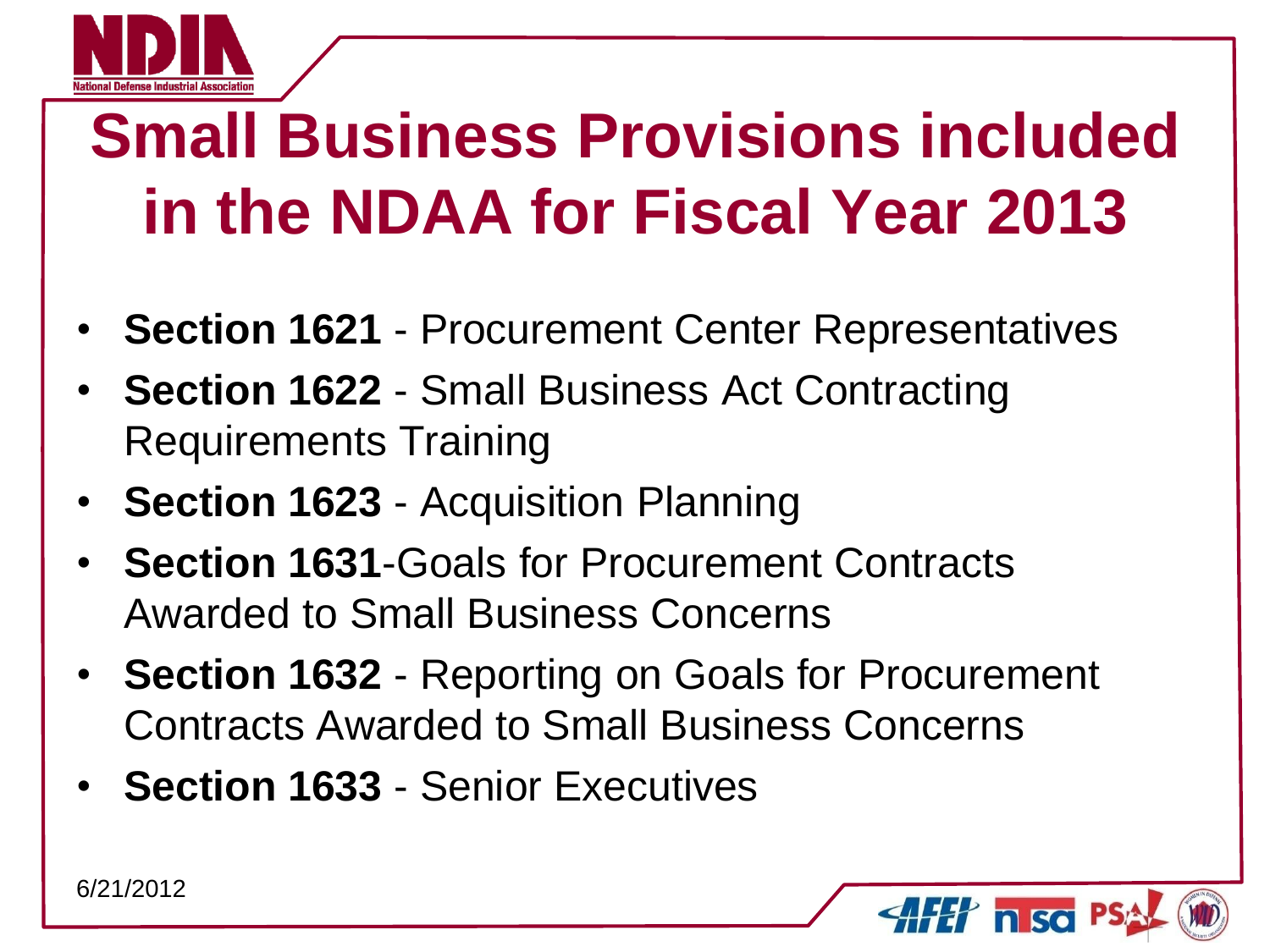

# **Small Business Provisions included in the NDAA for Fiscal Year 2013**

- **Section 1621** Procurement Center Representatives
- **Section 1622** Small Business Act Contracting Requirements Training
- **Section 1623** Acquisition Planning
- **Section 1631**-Goals for Procurement Contracts Awarded to Small Business Concerns
- **Section 1632** Reporting on Goals for Procurement Contracts Awarded to Small Business Concerns
- **Section 1633** Senior Executives

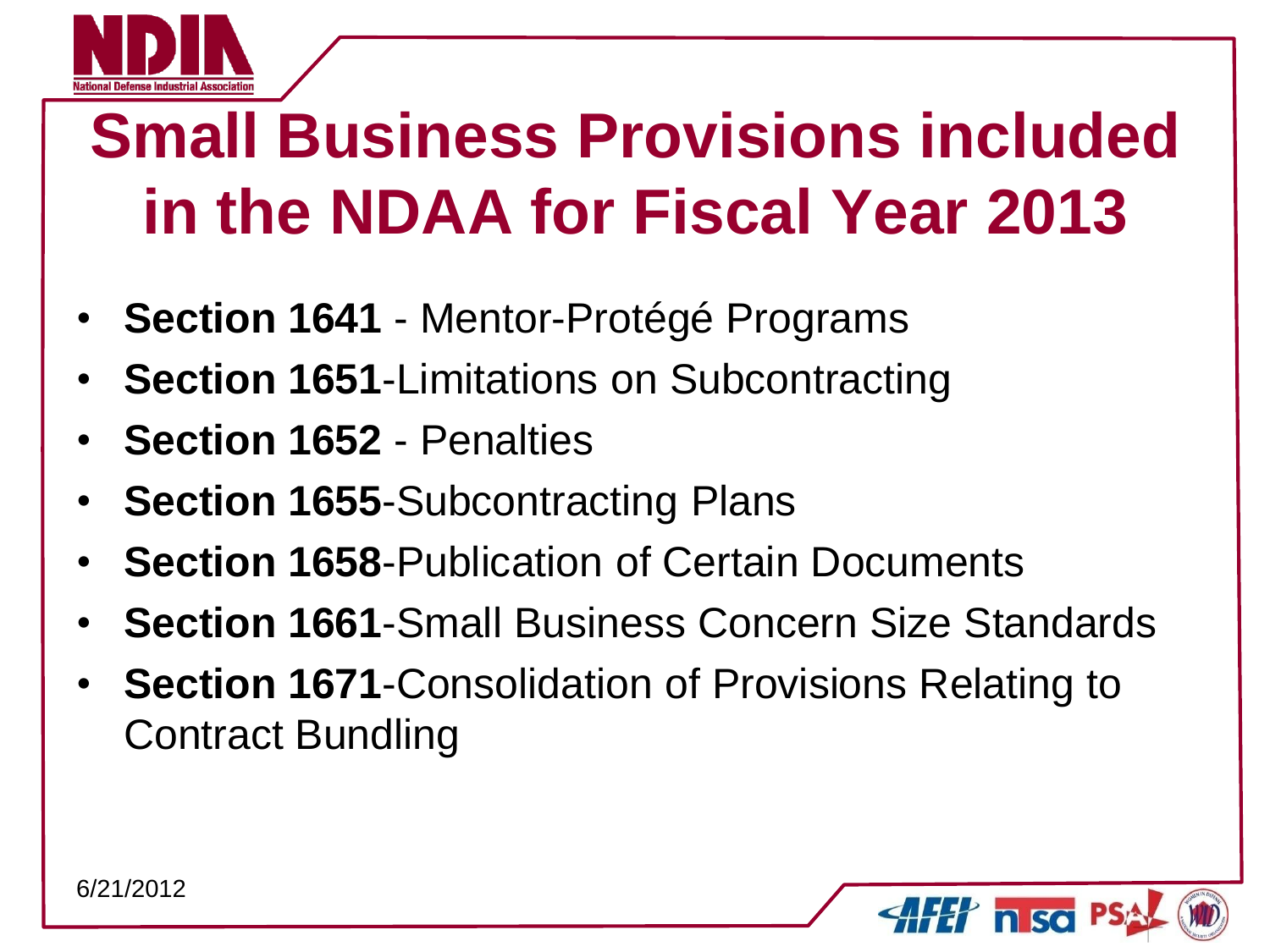

# **Small Business Provisions included in the NDAA for Fiscal Year 2013**

- **Section 1641** Mentor-Protégé Programs
- **Section 1651-Limitations on Subcontracting**
- **Section 1652** Penalties
- **Section 1655**-Subcontracting Plans
- **Section 1658-Publication of Certain Documents**
- **Section 1661**-Small Business Concern Size Standards
- **Section 1671**-Consolidation of Provisions Relating to Contract Bundling

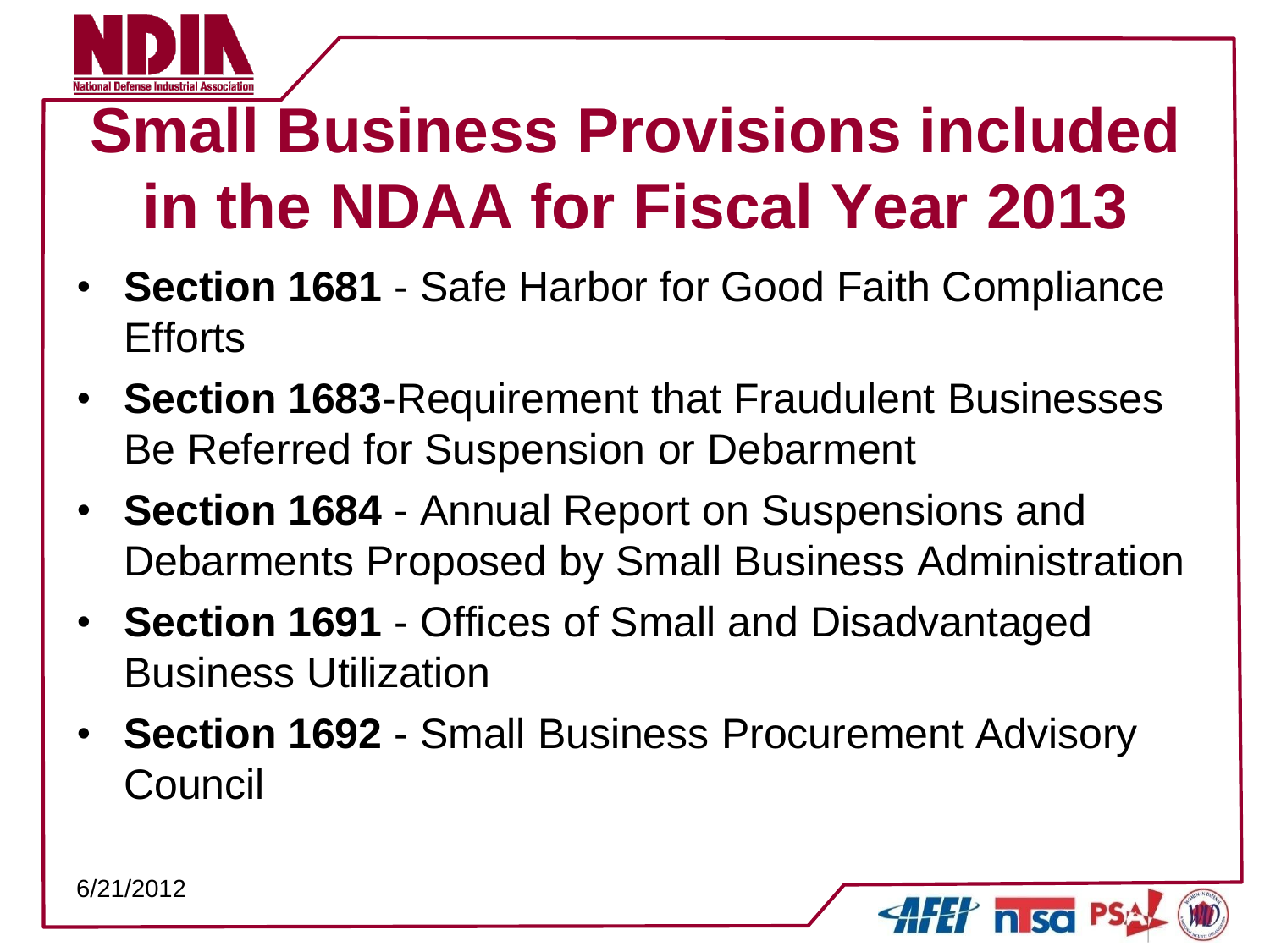

# **Small Business Provisions included in the NDAA for Fiscal Year 2013**

- **Section 1681** Safe Harbor for Good Faith Compliance Efforts
- **Section 1683**-Requirement that Fraudulent Businesses Be Referred for Suspension or Debarment
- **Section 1684** Annual Report on Suspensions and Debarments Proposed by Small Business Administration
- **Section 1691** Offices of Small and Disadvantaged Business Utilization
- **Section 1692** Small Business Procurement Advisory **Council**

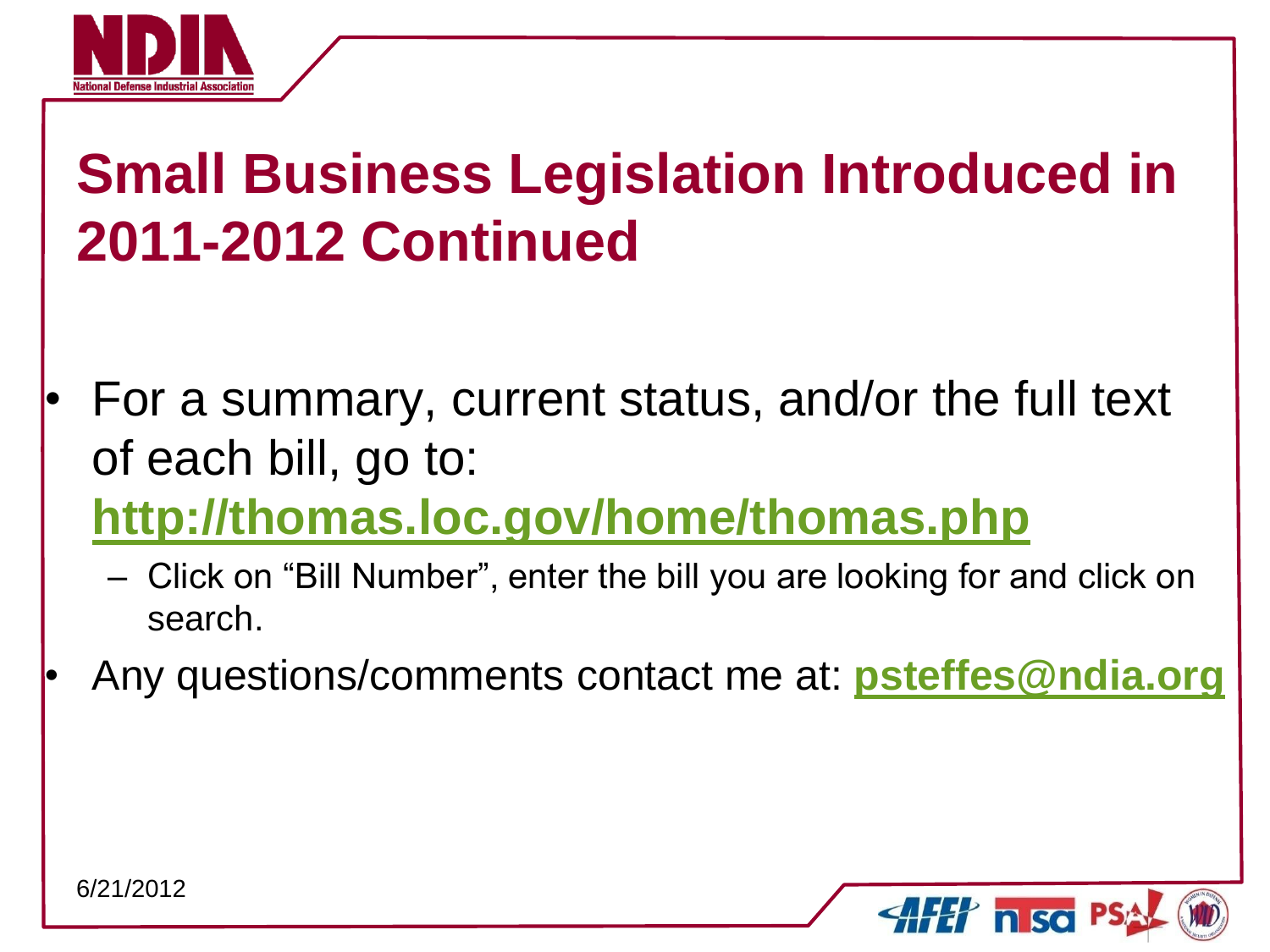

- For a summary, current status, and/or the full text of each bill, go to:
	- **<http://thomas.loc.gov/home/thomas.php>** 
		- Click on "Bill Number", enter the bill you are looking for and click on search.
- Any questions/comments contact me at: **[psteffes@ndia.org](mailto:psteffes@ndia.org)**

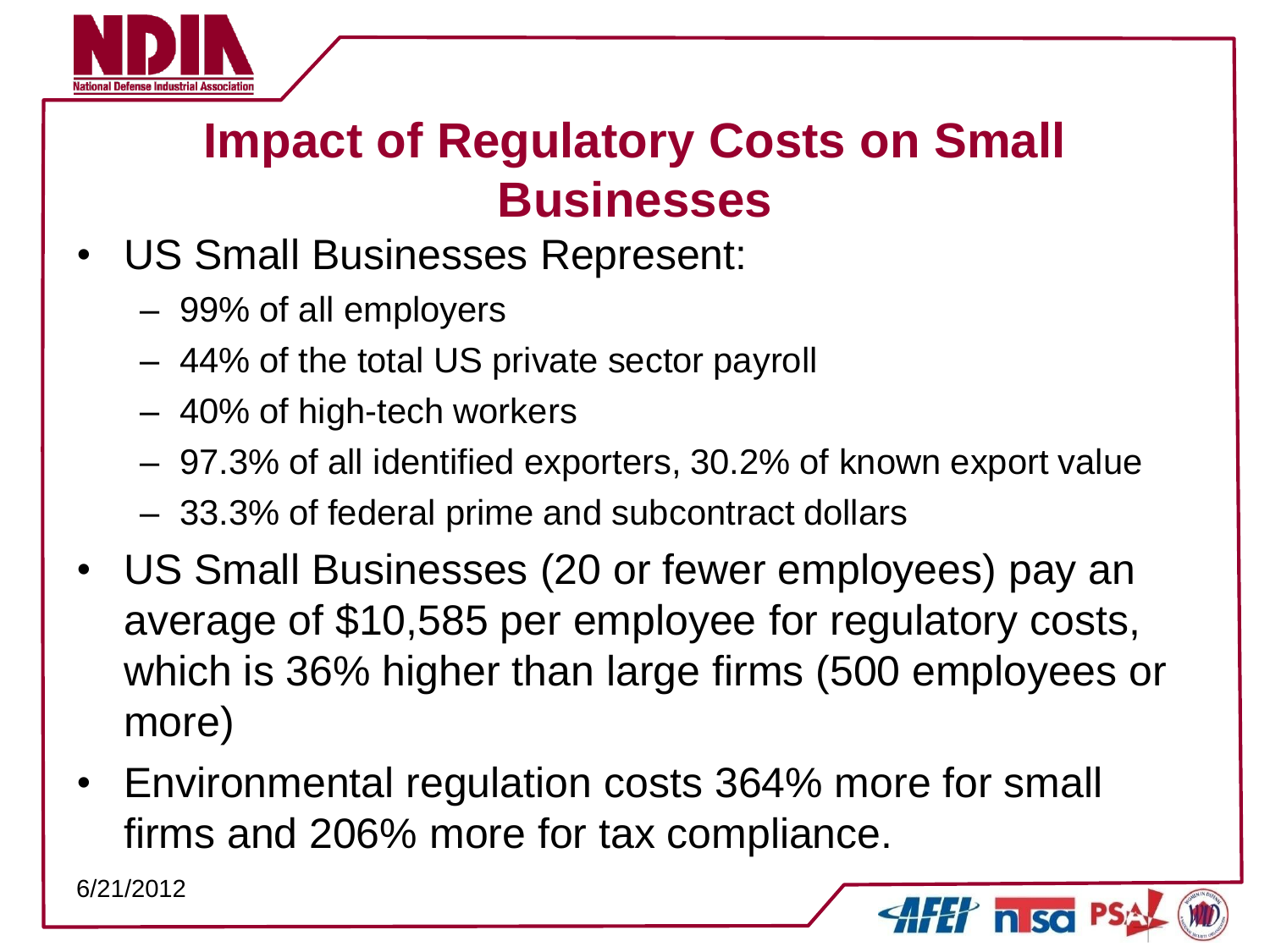

## **Impact of Regulatory Costs on Small Businesses**

- US Small Businesses Represent:
	- 99% of all employers
	- 44% of the total US private sector payroll
	- 40% of high-tech workers
	- 97.3% of all identified exporters, 30.2% of known export value
	- 33.3% of federal prime and subcontract dollars
- US Small Businesses (20 or fewer employees) pay an average of \$10,585 per employee for regulatory costs, which is 36% higher than large firms (500 employees or more)
- Environmental regulation costs 364% more for small firms and 206% more for tax compliance.

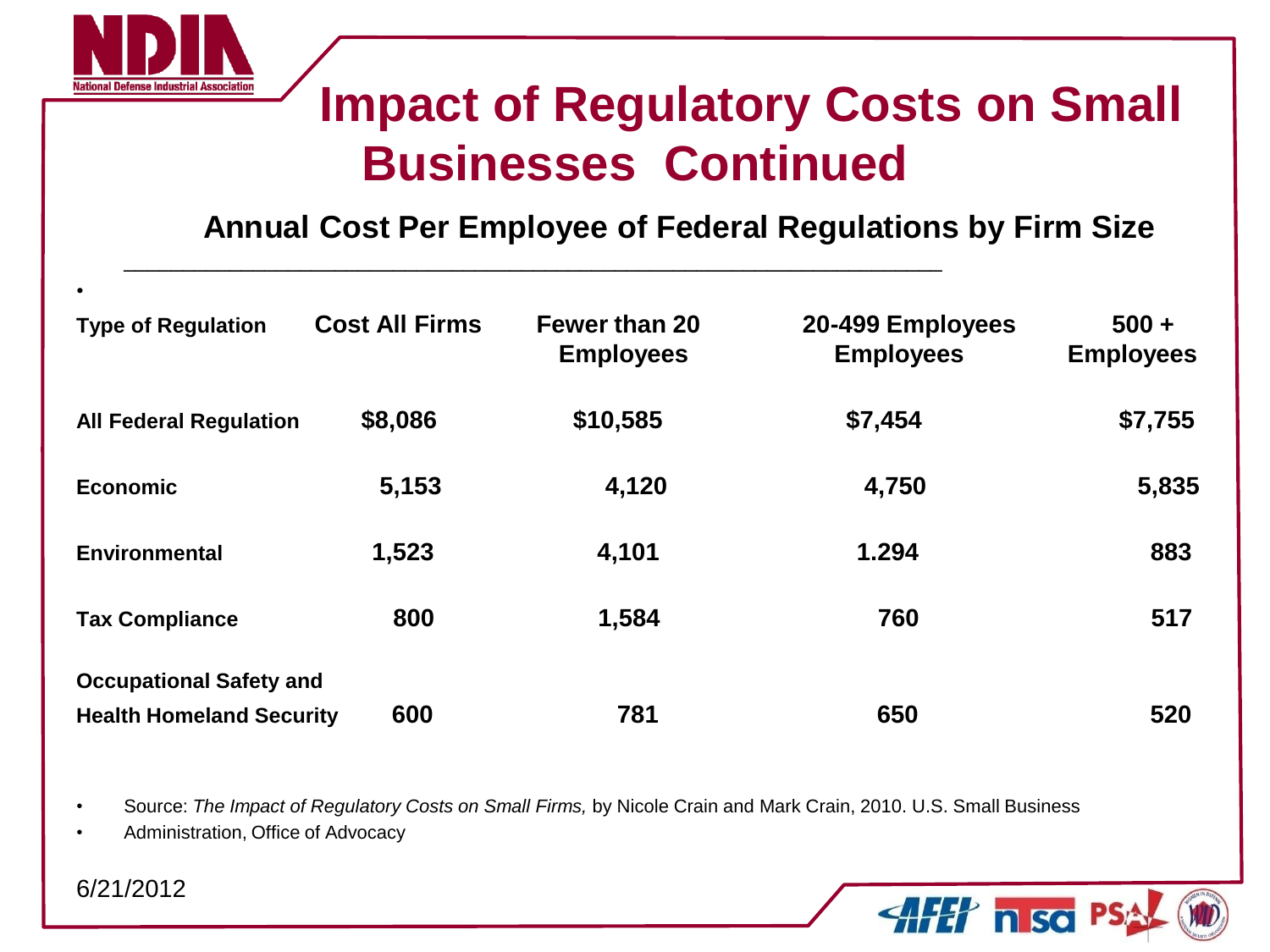

#### **Impact of Regulatory Costs on Small Businesses Continued**

**AFET nisc** P.

**Annual Cost Per Employee of Federal Regulations by Firm Size** 

| $\bullet$                       |                       |                                          |                                      |                             |
|---------------------------------|-----------------------|------------------------------------------|--------------------------------------|-----------------------------|
| <b>Type of Regulation</b>       | <b>Cost All Firms</b> | <b>Fewer than 20</b><br><b>Employees</b> | 20-499 Employees<br><b>Employees</b> | $500 +$<br><b>Employees</b> |
| <b>All Federal Regulation</b>   | \$8,086               | \$10,585                                 | \$7,454                              | \$7,755                     |
| <b>Economic</b>                 | 5,153                 | 4,120                                    | 4,750                                | 5,835                       |
| <b>Environmental</b>            | 1,523                 | 4,101                                    | 1.294                                | 883                         |
| <b>Tax Compliance</b>           | 800                   | 1,584                                    | 760                                  | 517                         |
| <b>Occupational Safety and</b>  |                       |                                          |                                      |                             |
| <b>Health Homeland Security</b> | 600                   | 781                                      | 650                                  | 520                         |

\_\_\_\_\_\_\_\_\_\_\_\_\_\_\_\_\_\_\_\_\_\_\_\_\_\_\_\_\_\_\_\_\_\_\_\_\_\_\_\_\_\_\_\_\_\_\_\_\_\_\_\_\_\_\_\_\_\_\_\_\_\_\_\_\_\_\_\_\_\_

• Source: *The Impact of Regulatory Costs on Small Firms,* by Nicole Crain and Mark Crain, 2010. U.S. Small Business

• Administration, Office of Advocacy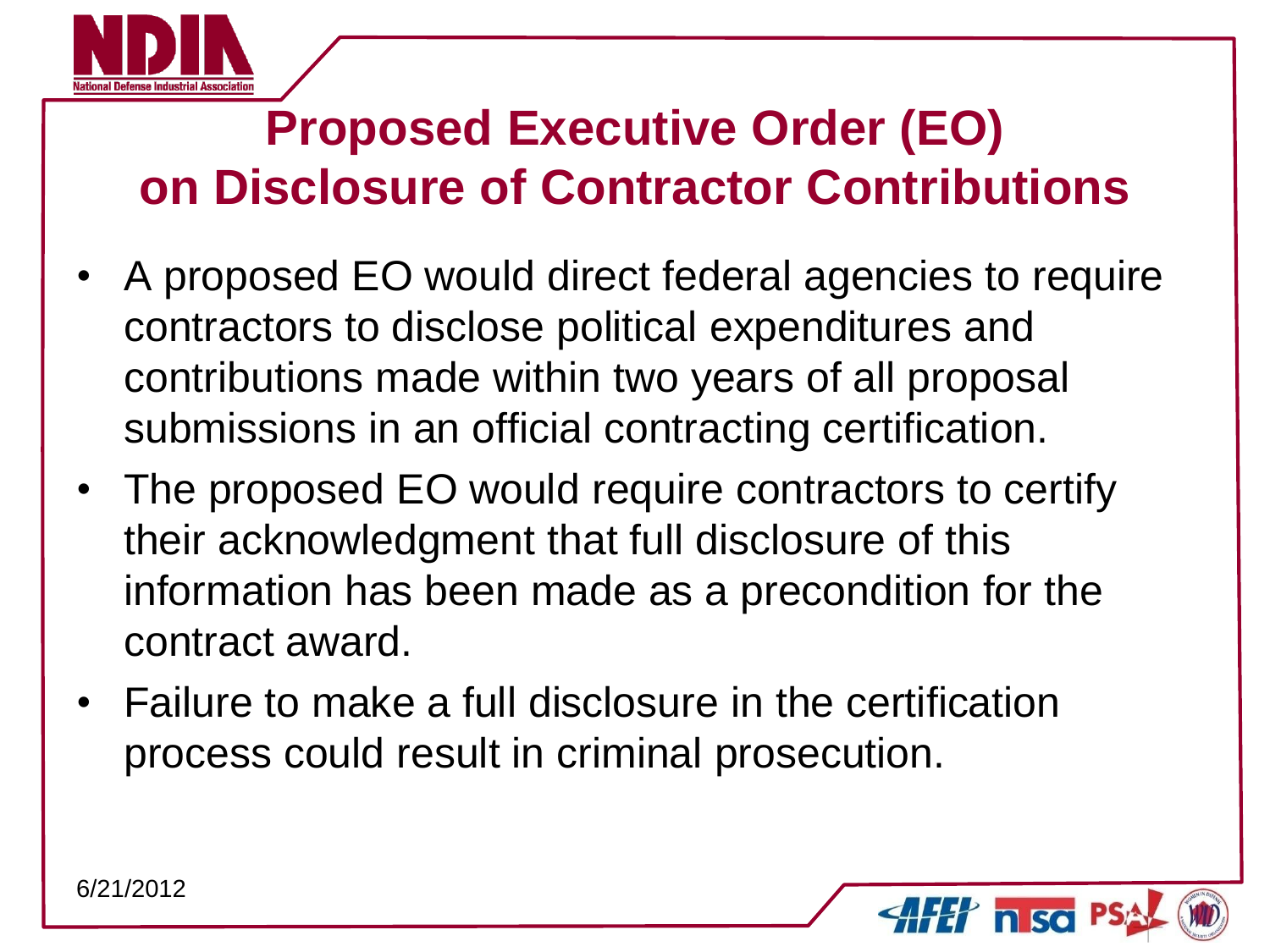

### **Proposed Executive Order (EO) on Disclosure of Contractor Contributions**

- A proposed EO would direct federal agencies to require contractors to disclose political expenditures and contributions made within two years of all proposal submissions in an official contracting certification.
- The proposed EO would require contractors to certify their acknowledgment that full disclosure of this information has been made as a precondition for the contract award.
- Failure to make a full disclosure in the certification process could result in criminal prosecution.

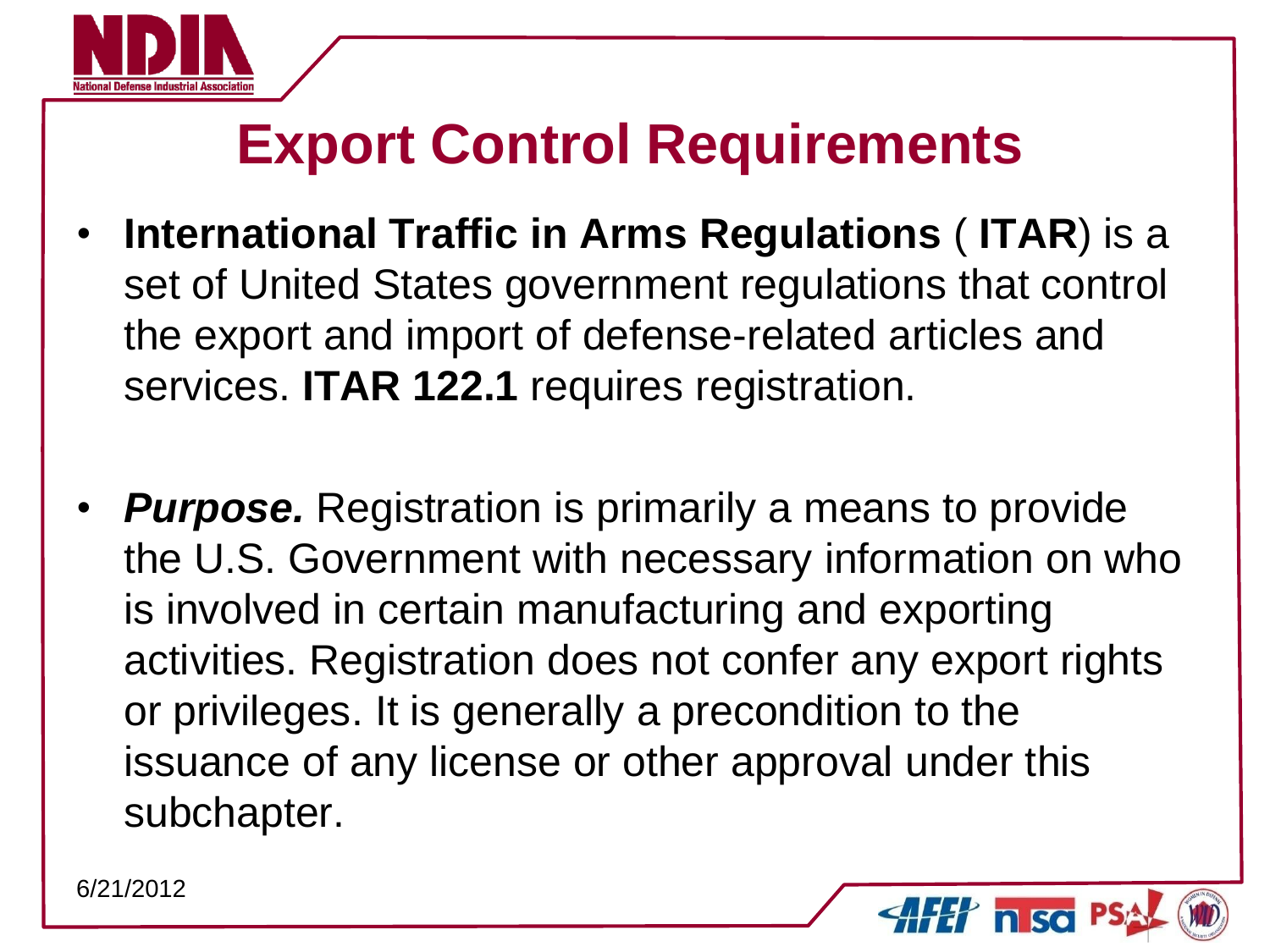

# **Export Control Requirements**

- **International Traffic in Arms Regulations** ( **ITAR**) is a set of United States government regulations that control the export and import of defense-related articles and services. **ITAR 122.1** requires registration.
- **Purpose.** Registration is primarily a means to provide the U.S. Government with necessary information on who is involved in certain manufacturing and exporting activities. Registration does not confer any export rights or privileges. It is generally a precondition to the issuance of any license or other approval under this subchapter.

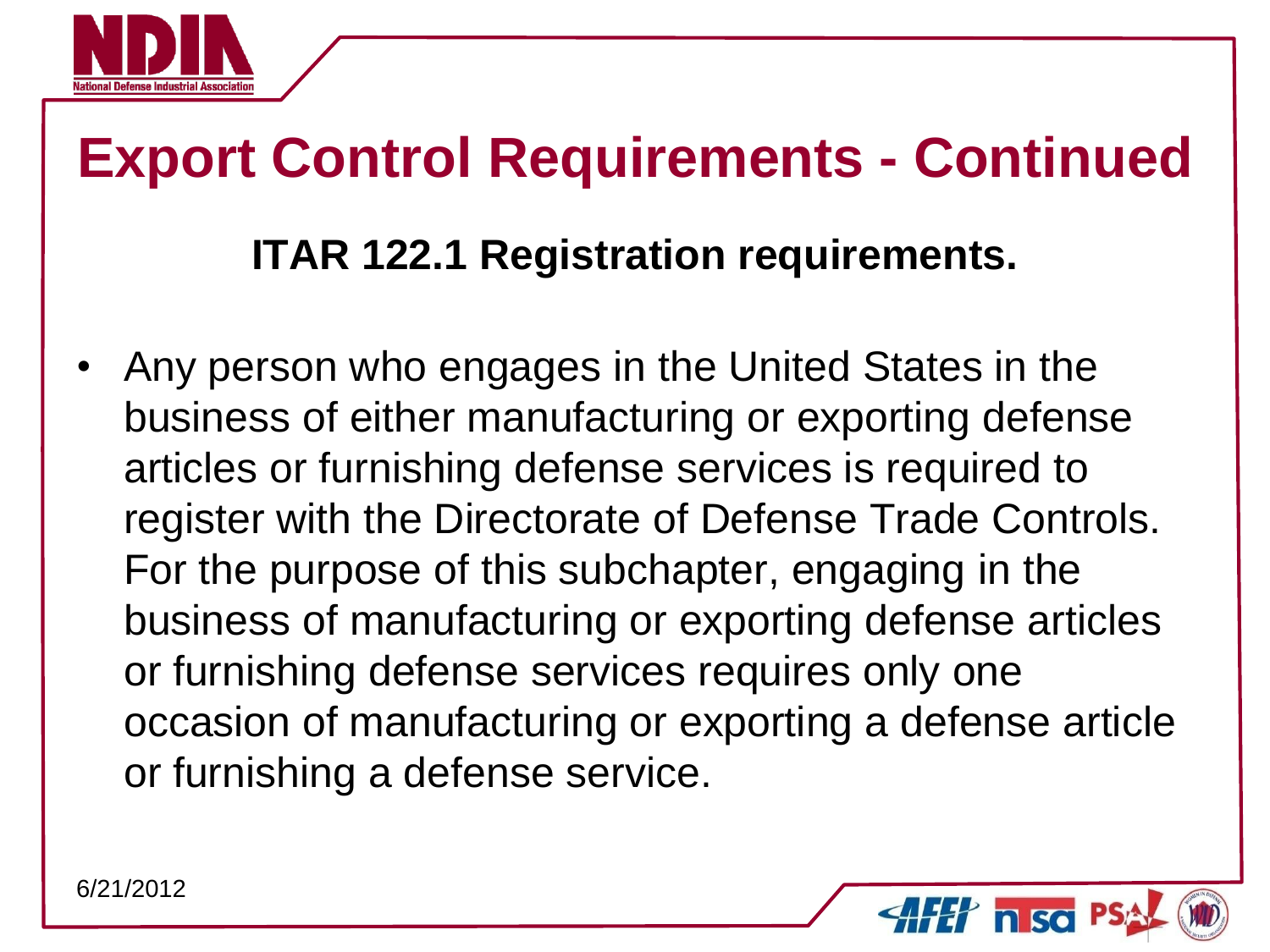

# **Export Control Requirements - Continued**

#### **ITAR 122.1 Registration requirements.**

• Any person who engages in the United States in the business of either manufacturing or exporting defense articles or furnishing defense services is required to register with the Directorate of Defense Trade Controls. For the purpose of this subchapter, engaging in the business of manufacturing or exporting defense articles or furnishing defense services requires only one occasion of manufacturing or exporting a defense article or furnishing a defense service.

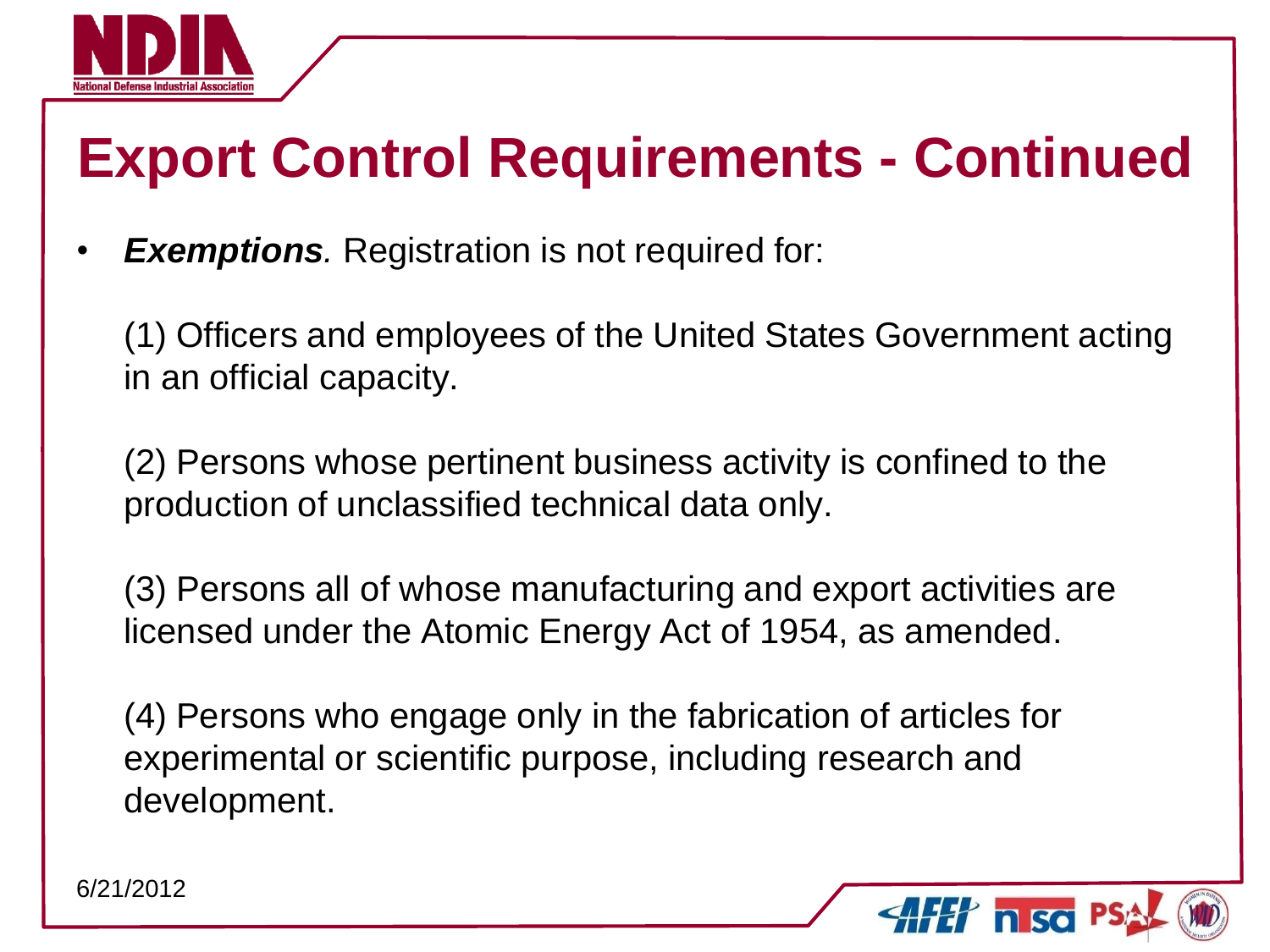

# **Export Control Requirements - Continued**

**Exemptions**. Registration is not required for:

(1) Officers and employees of the United States Government acting in an official capacity.

(2) Persons whose pertinent business activity is confined to the production of unclassified technical data only.

(3) Persons all of whose manufacturing and export activities are licensed under the Atomic Energy Act of 1954, as amended.

(4) Persons who engage only in the fabrication of articles for experimental or scientific purpose, including research and development.

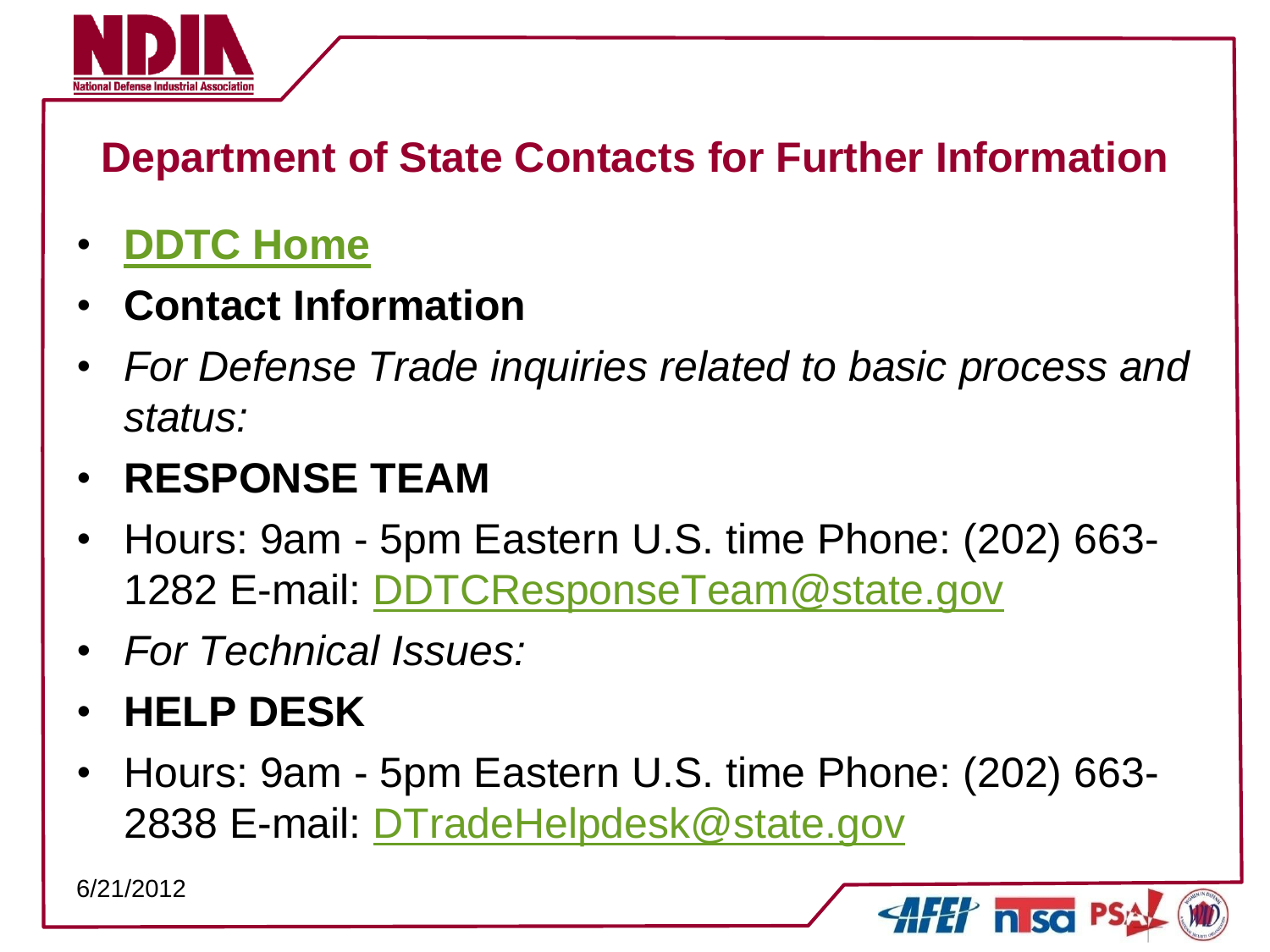

#### **Department of State Contacts for Further Information**

#### • **[DDTC Home](https://pmddtc.state.gov/)**

- **Contact Information**
- *For Defense Trade inquiries related to basic process and status:*

#### • **RESPONSE TEAM**

- Hours: 9am 5pm Eastern U.S. time Phone: (202) 663- 1282 E-mail: [DDTCResponseTeam@state.gov](mailto:DDTCResponseTeam@state.gov)
- *For Technical Issues:*
- **HELP DESK**
- Hours: 9am 5pm Eastern U.S. time Phone: (202) 663- 2838 E-mail: [DTradeHelpdesk@state.gov](mailto:DTradeHelpdesk@state.gov)

**AFET nisc PS**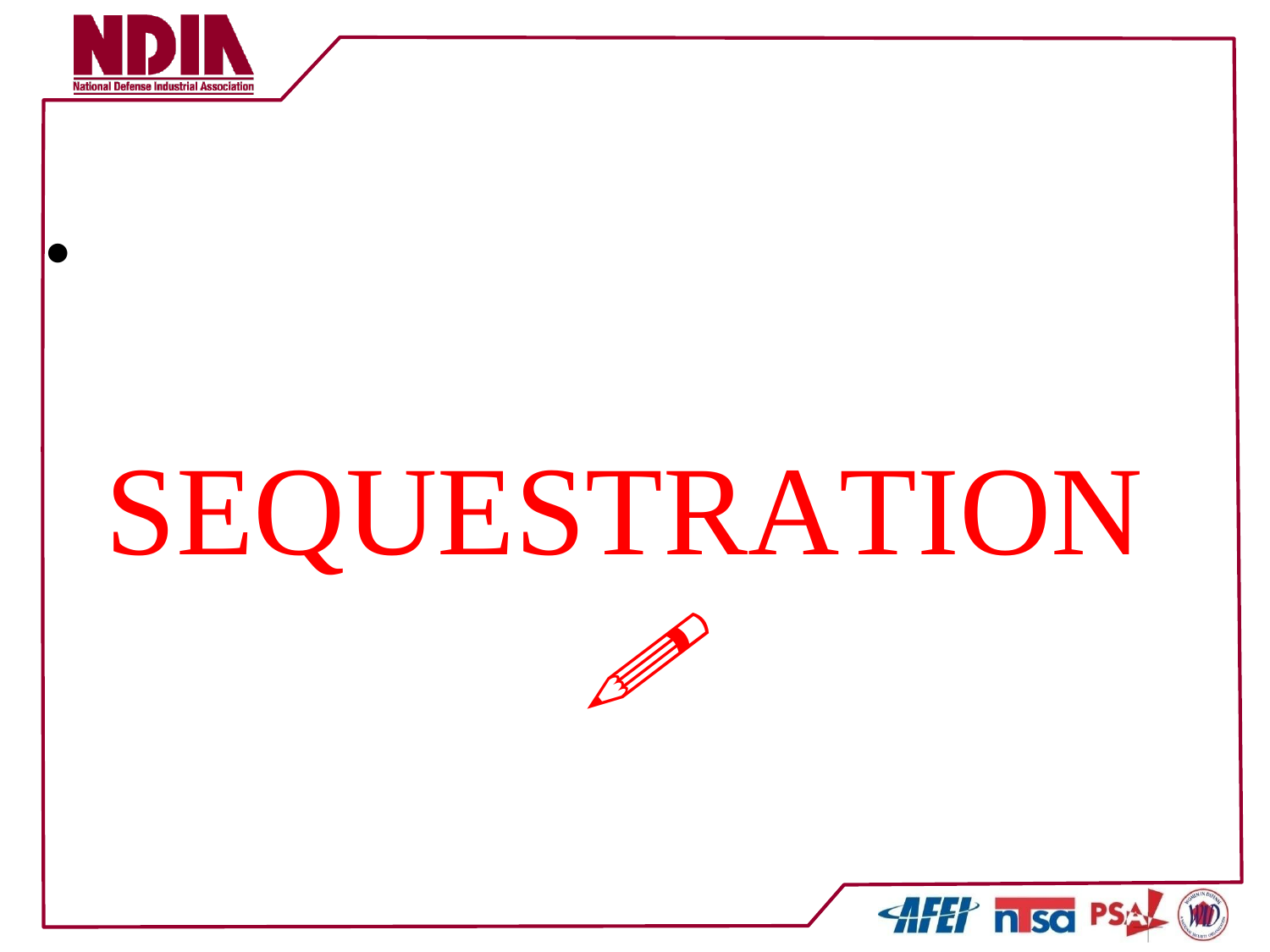

•

# SEQUESTRATION



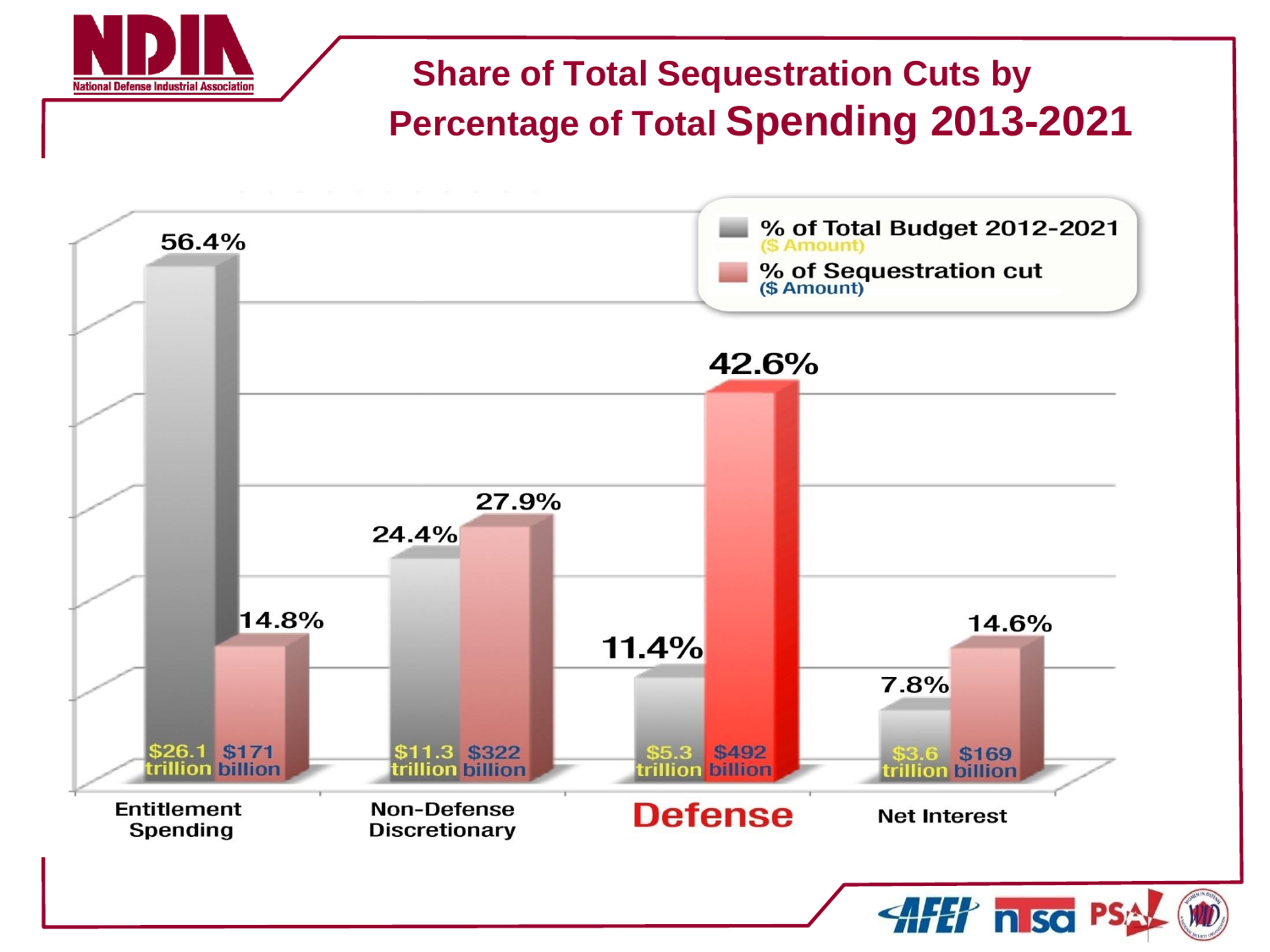#### **Share of Total Sequestration Cuts by Percentage of Total Spending 2013-2021**